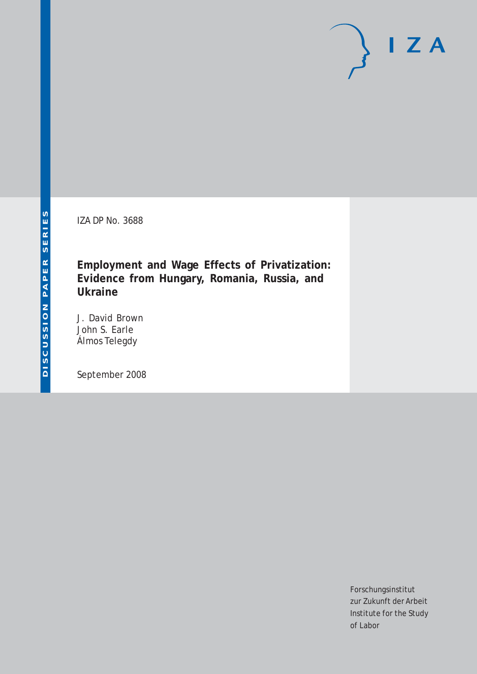IZA DP No. 3688

**Employment and Wage Effects of Privatization: Evidence from Hungary, Romania, Russia, and Ukraine**

J. David Brown John S. Earle Álmos Telegdy

September 2008

Forschungsinstitut zur Zukunft der Arbeit Institute for the Study of Labor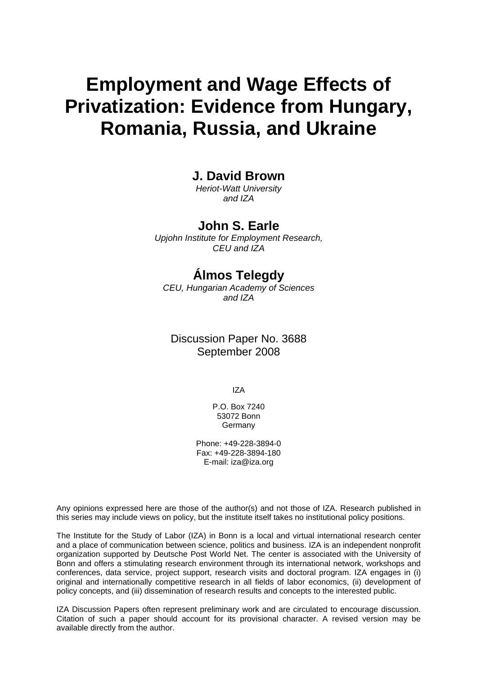# **Employment and Wage Effects of Privatization: Evidence from Hungary, Romania, Russia, and Ukraine**

### **J. David Brown**

*Heriot-Watt University and IZA* 

### **John S. Earle**

*Upjohn Institute for Employment Research, CEU and IZA* 

## **Álmos Telegdy**

*CEU, Hungarian Academy of Sciences and IZA* 

Discussion Paper No. 3688 September 2008

IZA

P.O. Box 7240 53072 Bonn Germany

Phone: +49-228-3894-0 Fax: +49-228-3894-180 E-mail: [iza@iza.org](mailto:iza@iza.org)

Any opinions expressed here are those of the author(s) and not those of IZA. Research published in this series may include views on policy, but the institute itself takes no institutional policy positions.

The Institute for the Study of Labor (IZA) in Bonn is a local and virtual international research center and a place of communication between science, politics and business. IZA is an independent nonprofit organization supported by Deutsche Post World Net. The center is associated with the University of Bonn and offers a stimulating research environment through its international network, workshops and conferences, data service, project support, research visits and doctoral program. IZA engages in (i) original and internationally competitive research in all fields of labor economics, (ii) development of policy concepts, and (iii) dissemination of research results and concepts to the interested public.

IZA Discussion Papers often represent preliminary work and are circulated to encourage discussion. Citation of such a paper should account for its provisional character. A revised version may be available directly from the author.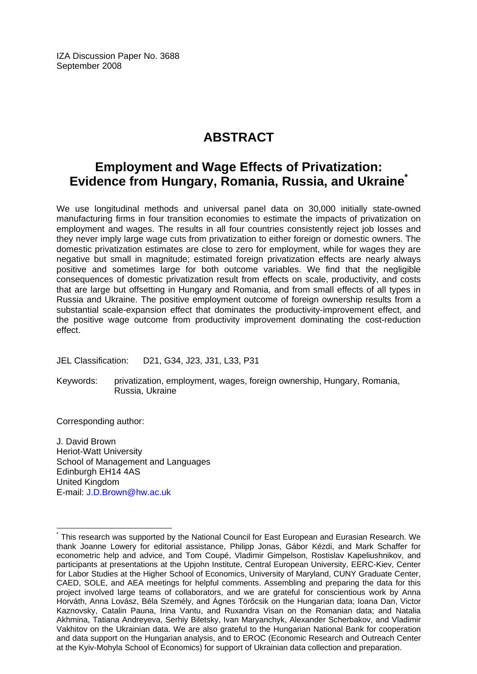IZA Discussion Paper No. 3688 September 2008

## **ABSTRACT**

## **Employment and Wage Effects of Privatization: Evidence from Hungary, Romania, Russia, and Ukraine[\\*](#page-2-0)**

We use longitudinal methods and universal panel data on 30,000 initially state-owned manufacturing firms in four transition economies to estimate the impacts of privatization on employment and wages. The results in all four countries consistently reject job losses and they never imply large wage cuts from privatization to either foreign or domestic owners. The domestic privatization estimates are close to zero for employment, while for wages they are negative but small in magnitude; estimated foreign privatization effects are nearly always positive and sometimes large for both outcome variables. We find that the negligible consequences of domestic privatization result from effects on scale, productivity, and costs that are large but offsetting in Hungary and Romania, and from small effects of all types in Russia and Ukraine. The positive employment outcome of foreign ownership results from a substantial scale-expansion effect that dominates the productivity-improvement effect, and the positive wage outcome from productivity improvement dominating the cost-reduction effect.

JEL Classification: D21, G34, J23, J31, L33, P31

Keywords: privatization, employment, wages, foreign ownership, Hungary, Romania, Russia, Ukraine

Corresponding author:

 $\overline{a}$ 

J. David Brown Heriot-Watt University School of Management and Languages Edinburgh EH14 4AS United Kingdom E-mail: [J.D.Brown@hw.ac.uk](mailto:J.D.Brown@hw.ac.uk)

<span id="page-2-0"></span><sup>\*</sup> This research was supported by the National Council for East European and Eurasian Research. We thank Joanne Lowery for editorial assistance, Philipp Jonas, Gábor Kézdi, and Mark Schaffer for econometric help and advice, and Tom Coupé, Vladimir Gimpelson, Rostislav Kapeliushnikov, and participants at presentations at the Upjohn Institute, Central European University, EERC-Kiev, Center for Labor Studies at the Higher School of Economics, University of Maryland, CUNY Graduate Center, CAED, SOLE, and AEA meetings for helpful comments. Assembling and preparing the data for this project involved large teams of collaborators, and we are grateful for conscientious work by Anna Horváth, Anna Lovász, Béla Személy, and Ágnes Törőcsik on the Hungarian data; Ioana Dan, Victor Kaznovsky, Catalin Pauna, Irina Vantu, and Ruxandra Visan on the Romanian data; and Natalia Akhmina, Tatiana Andreyeva, Serhiy Biletsky, Ivan Maryanchyk, Alexander Scherbakov, and Vladimir Vakhitov on the Ukrainian data. We are also grateful to the Hungarian National Bank for cooperation and data support on the Hungarian analysis, and to EROC (Economic Research and Outreach Center at the Kyiv-Mohyla School of Economics) for support of Ukrainian data collection and preparation.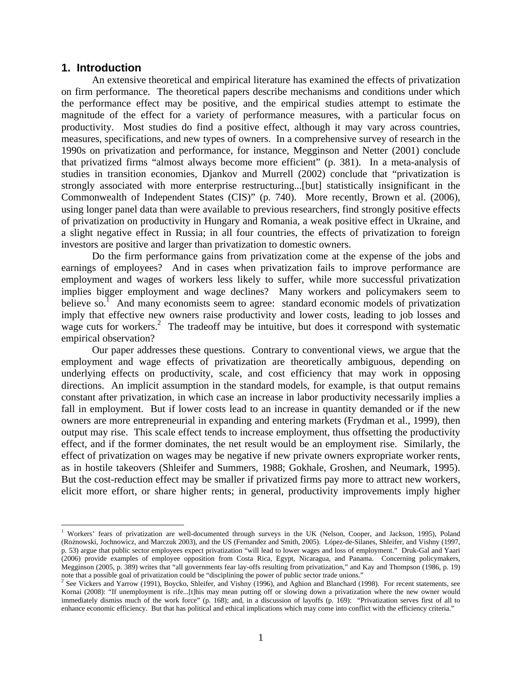#### **1. Introduction**

 $\overline{a}$ 

An extensive theoretical and empirical literature has examined the effects of privatization on firm performance. The theoretical papers describe mechanisms and conditions under which the performance effect may be positive, and the empirical studies attempt to estimate the magnitude of the effect for a variety of performance measures, with a particular focus on productivity. Most studies do find a positive effect, although it may vary across countries, measures, specifications, and new types of owners. In a comprehensive survey of research in the 1990s on privatization and performance, for instance, Megginson and Netter (2001) conclude that privatized firms "almost always become more efficient" (p. 381). In a meta-analysis of studies in transition economies, Djankov and Murrell (2002) conclude that "privatization is strongly associated with more enterprise restructuring...[but] statistically insignificant in the Commonwealth of Independent States (CIS)" (p. 740). More recently, Brown et al. (2006), using longer panel data than were available to previous researchers, find strongly positive effects of privatization on productivity in Hungary and Romania, a weak positive effect in Ukraine, and a slight negative effect in Russia; in all four countries, the effects of privatization to foreign investors are positive and larger than privatization to domestic owners.

Do the firm performance gains from privatization come at the expense of the jobs and earnings of employees? And in cases when privatization fails to improve performance are employment and wages of workers less likely to suffer, while more successful privatization implies bigger employment and wage declines? Many workers and policymakers seem to believe so.<sup>[1](#page-3-0)</sup> And many economists seem to agree: standard economic models of privatization imply that effective new owners raise productivity and lower costs, leading to job losses and wage cuts for workers.<sup>[2](#page-3-1)</sup> The tradeoff may be intuitive, but does it correspond with systematic empirical observation?

Our paper addresses these questions. Contrary to conventional views, we argue that the employment and wage effects of privatization are theoretically ambiguous, depending on underlying effects on productivity, scale, and cost efficiency that may work in opposing directions. An implicit assumption in the standard models, for example, is that output remains constant after privatization, in which case an increase in labor productivity necessarily implies a fall in employment. But if lower costs lead to an increase in quantity demanded or if the new owners are more entrepreneurial in expanding and entering markets (Frydman et al., 1999), then output may rise. This scale effect tends to increase employment, thus offsetting the productivity effect, and if the former dominates, the net result would be an employment rise. Similarly, the effect of privatization on wages may be negative if new private owners expropriate worker rents, as in hostile takeovers (Shleifer and Summers, 1988; Gokhale, Groshen, and Neumark, 1995). But the cost-reduction effect may be smaller if privatized firms pay more to attract new workers, elicit more effort, or share higher rents; in general, productivity improvements imply higher

<span id="page-3-0"></span><sup>&</sup>lt;sup>1</sup> Workers' fears of privatization are well-documented through surveys in the UK (Nelson, Cooper, and Jackson, 1995), Poland (Rożnowski, Jochnowicz, and Marczuk 2003), and the US (Fernandez and Smith, 2005). López-de-Silanes, Shleifer, and Vishny (1997, p. 53) argue that public sector employees expect privatization "will lead to lower wages and loss of employment." Druk-Gal and Yaari (2006) provide examples of employee opposition from Costa Rica, Egypt, Nicaragua, and Panama. Concerning policymakers, Megginson (2005, p. 389) writes that "all governments fear lay-offs resulting from privatization," and Kay and Thompson (1986, p. 19) note that a possible goal of privatization could be "disciplining the power of public sector trade unions." 2

<span id="page-3-1"></span><sup>&</sup>lt;sup>2</sup> See Vickers and Yarrow (1991), Boycko, Shleifer, and Vishny (1996), and Aghion and Blanchard (1998). For recent statements, see Kornai (2008): "If unemployment is rife...[t]his may mean putting off or slowing down a privatization where the new owner would immediately dismiss much of the work force" (p. 168); and, in a discussion of layoffs (p. 169): "Privatization serves first of all to enhance economic efficiency. But that has political and ethical implications which may come into conflict with the efficiency criteria."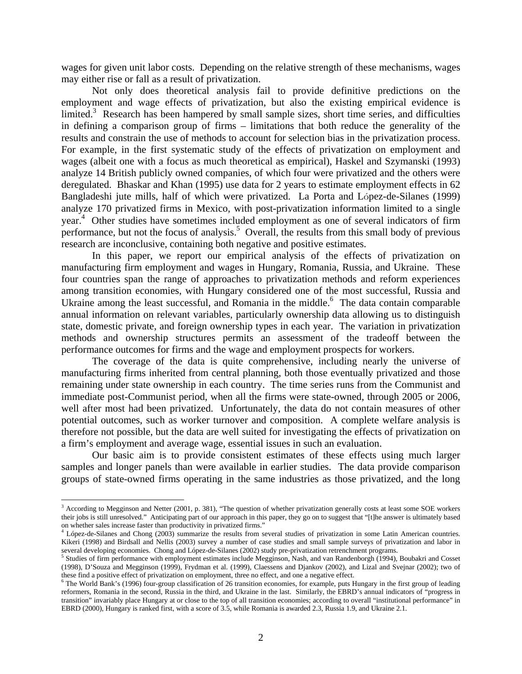wages for given unit labor costs. Depending on the relative strength of these mechanisms, wages may either rise or fall as a result of privatization.

Not only does theoretical analysis fail to provide definitive predictions on the employment and wage effects of privatization, but also the existing empirical evidence is limited.<sup>3</sup> Research has been hampered by small sample sizes, short time series, and difficulties in defining a comparison group of firms – limitations that both reduce the generality of the results and constrain the use of methods to account for selection bias in the privatization process. For example, in the first systematic study of the effects of privatization on employment and wages (albeit one with a focus as much theoretical as empirical), Haskel and Szymanski (1993) analyze 14 British publicly owned companies, of which four were privatized and the others were deregulated. Bhaskar and Khan (1995) use data for 2 years to estimate employment effects in 62 Bangladeshi jute mills, half of which were privatized. La Porta and López-de-Silanes (1999) analyze 170 privatized firms in Mexico, with post-privatization information limited to a single year.[4](#page-4-1) Other studies have sometimes included employment as one of several indicators of firm performance, but not the focus of analysis.<sup>[5](#page-4-2)</sup> Overall, the results from this small body of previous research are inconclusive, containing both negative and positive estimates.

In this paper, we report our empirical analysis of the effects of privatization on manufacturing firm employment and wages in Hungary, Romania, Russia, and Ukraine. These four countries span the range of approaches to privatization methods and reform experiences among transition economies, with Hungary considered one of the most successful, Russia and Ukraine among the least successful, and Romania in the middle.<sup>6</sup> The data contain comparable annual information on relevant variables, particularly ownership data allowing us to distinguish state, domestic private, and foreign ownership types in each year. The variation in privatization methods and ownership structures permits an assessment of the tradeoff between the performance outcomes for firms and the wage and employment prospects for workers.

The coverage of the data is quite comprehensive, including nearly the universe of manufacturing firms inherited from central planning, both those eventually privatized and those remaining under state ownership in each country. The time series runs from the Communist and immediate post-Communist period, when all the firms were state-owned, through 2005 or 2006, well after most had been privatized. Unfortunately, the data do not contain measures of other potential outcomes, such as worker turnover and composition. A complete welfare analysis is therefore not possible, but the data are well suited for investigating the effects of privatization on a firm's employment and average wage, essential issues in such an evaluation.

Our basic aim is to provide consistent estimates of these effects using much larger samples and longer panels than were available in earlier studies. The data provide comparison groups of state-owned firms operating in the same industries as those privatized, and the long

<span id="page-4-0"></span><sup>&</sup>lt;sup>3</sup> According to Megginson and Netter (2001, p. 381), "The question of whether privatization generally costs at least some SOE workers their jobs is still unresolved." Anticipating part of our approach in this paper, they go on to suggest that "[t]he answer is ultimately based on whether sales increase faster than productivity in privatized firms." 4

<span id="page-4-1"></span>López-de-Silanes and Chong (2003) summarize the results from several studies of privatization in some Latin American countries. Kikeri (1998) and Birdsall and Nellis (2003) survey a number of case studies and small sample surveys of privatization and labor in several developing economies. Chong and López-de-Silanes (2002) study pre-privatization retrenchment programs.

<span id="page-4-2"></span><sup>&</sup>lt;sup>5</sup> Studies of firm performance with employment estimates include Megginson, Nash, and van Randenborgh (1994), Boubakri and Cosset (1998), D'Souza and Megginson (1999), Frydman et al. (1999), Claessens and Djankov (2002), and Lizal and Svejnar (2002); two of these find a positive effect of privatization on employment, three no effect, and one a negative effect. <sup>6</sup>

<span id="page-4-3"></span><sup>&</sup>lt;sup>6</sup> The World Bank's (1996) four-group classification of 26 transition economies, for example, puts Hungary in the first group of leading reformers, Romania in the second, Russia in the third, and Ukraine in the last. Similarly, the EBRD's annual indicators of "progress in transition" invariably place Hungary at or close to the top of all transition economies; according to overall "institutional performance" in EBRD (2000), Hungary is ranked first, with a score of 3.5, while Romania is awarded 2.3, Russia 1.9, and Ukraine 2.1.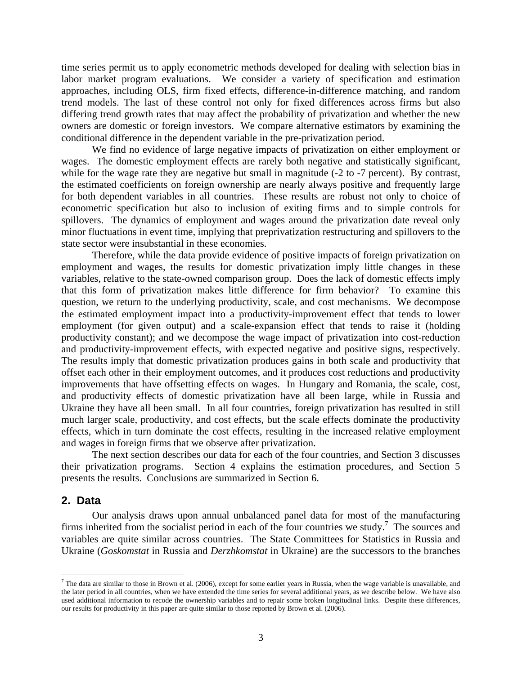time series permit us to apply econometric methods developed for dealing with selection bias in labor market program evaluations. We consider a variety of specification and estimation approaches, including OLS, firm fixed effects, difference-in-difference matching, and random trend models. The last of these control not only for fixed differences across firms but also differing trend growth rates that may affect the probability of privatization and whether the new owners are domestic or foreign investors. We compare alternative estimators by examining the conditional difference in the dependent variable in the pre-privatization period.

We find no evidence of large negative impacts of privatization on either employment or wages. The domestic employment effects are rarely both negative and statistically significant, while for the wage rate they are negative but small in magnitude (-2 to -7 percent). By contrast, the estimated coefficients on foreign ownership are nearly always positive and frequently large for both dependent variables in all countries. These results are robust not only to choice of econometric specification but also to inclusion of exiting firms and to simple controls for spillovers. The dynamics of employment and wages around the privatization date reveal only minor fluctuations in event time, implying that preprivatization restructuring and spillovers to the state sector were insubstantial in these economies.

Therefore, while the data provide evidence of positive impacts of foreign privatization on employment and wages, the results for domestic privatization imply little changes in these variables, relative to the state-owned comparison group. Does the lack of domestic effects imply that this form of privatization makes little difference for firm behavior? To examine this question, we return to the underlying productivity, scale, and cost mechanisms. We decompose the estimated employment impact into a productivity-improvement effect that tends to lower employment (for given output) and a scale-expansion effect that tends to raise it (holding productivity constant); and we decompose the wage impact of privatization into cost-reduction and productivity-improvement effects, with expected negative and positive signs, respectively. The results imply that domestic privatization produces gains in both scale and productivity that offset each other in their employment outcomes, and it produces cost reductions and productivity improvements that have offsetting effects on wages. In Hungary and Romania, the scale, cost, and productivity effects of domestic privatization have all been large, while in Russia and Ukraine they have all been small. In all four countries, foreign privatization has resulted in still much larger scale, productivity, and cost effects, but the scale effects dominate the productivity effects, which in turn dominate the cost effects, resulting in the increased relative employment and wages in foreign firms that we observe after privatization.

The next section describes our data for each of the four countries, and Section 3 discusses their privatization programs. Section 4 explains the estimation procedures, and Section 5 presents the results. Conclusions are summarized in Section 6.

#### **2. Data**

 $\overline{a}$ 

Our analysis draws upon annual unbalanced panel data for most of the manufacturing firms inherited from the socialist period in each of the four countries we study.<sup>[7](#page-5-0)</sup> The sources and variables are quite similar across countries. The State Committees for Statistics in Russia and Ukraine (*Goskomstat* in Russia and *Derzhkomstat* in Ukraine) are the successors to the branches

<span id="page-5-0"></span> $^7$  The data are similar to those in Brown et al. (2006), except for some earlier years in Russia, when the wage variable is unavailable, and the later period in all countries, when we have extended the time series for several additional years, as we describe below. We have also used additional information to recode the ownership variables and to repair some broken longitudinal links. Despite these differences, our results for productivity in this paper are quite similar to those reported by Brown et al. (2006).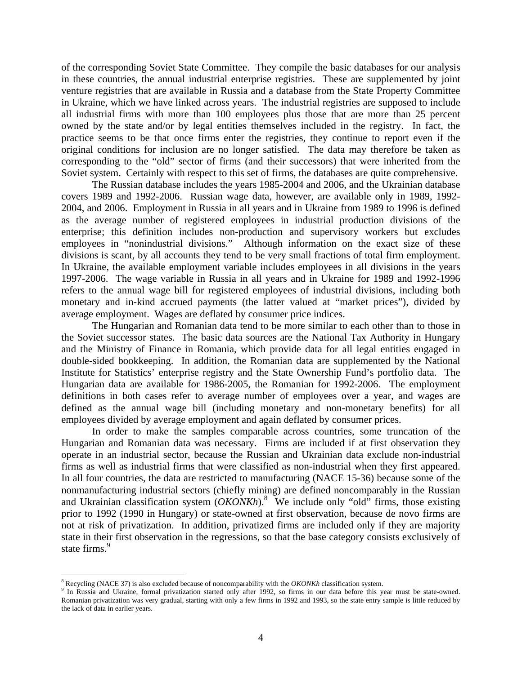of the corresponding Soviet State Committee. They compile the basic databases for our analysis in these countries, the annual industrial enterprise registries. These are supplemented by joint venture registries that are available in Russia and a database from the State Property Committee in Ukraine, which we have linked across years. The industrial registries are supposed to include all industrial firms with more than 100 employees plus those that are more than 25 percent owned by the state and/or by legal entities themselves included in the registry. In fact, the practice seems to be that once firms enter the registries, they continue to report even if the original conditions for inclusion are no longer satisfied. The data may therefore be taken as corresponding to the "old" sector of firms (and their successors) that were inherited from the Soviet system. Certainly with respect to this set of firms, the databases are quite comprehensive.

The Russian database includes the years 1985-2004 and 2006, and the Ukrainian database covers 1989 and 1992-2006. Russian wage data, however, are available only in 1989, 1992- 2004, and 2006. Employment in Russia in all years and in Ukraine from 1989 to 1996 is defined as the average number of registered employees in industrial production divisions of the enterprise; this definition includes non-production and supervisory workers but excludes employees in "nonindustrial divisions." Although information on the exact size of these divisions is scant, by all accounts they tend to be very small fractions of total firm employment. In Ukraine, the available employment variable includes employees in all divisions in the years 1997-2006. The wage variable in Russia in all years and in Ukraine for 1989 and 1992-1996 refers to the annual wage bill for registered employees of industrial divisions, including both monetary and in-kind accrued payments (the latter valued at "market prices"), divided by average employment. Wages are deflated by consumer price indices.

The Hungarian and Romanian data tend to be more similar to each other than to those in the Soviet successor states. The basic data sources are the National Tax Authority in Hungary and the Ministry of Finance in Romania, which provide data for all legal entities engaged in double-sided bookkeeping. In addition, the Romanian data are supplemented by the National Institute for Statistics' enterprise registry and the State Ownership Fund's portfolio data. The Hungarian data are available for 1986-2005, the Romanian for 1992-2006. The employment definitions in both cases refer to average number of employees over a year, and wages are defined as the annual wage bill (including monetary and non-monetary benefits) for all employees divided by average employment and again deflated by consumer prices.

In order to make the samples comparable across countries, some truncation of the Hungarian and Romanian data was necessary. Firms are included if at first observation they operate in an industrial sector, because the Russian and Ukrainian data exclude non-industrial firms as well as industrial firms that were classified as non-industrial when they first appeared. In all four countries, the data are restricted to manufacturing (NACE 15-36) because some of the nonmanufacturing industrial sectors (chiefly mining) are defined noncomparably in the Russian and Ukrainian classification system  $(OKONKh).$ <sup>[8](#page-6-0)</sup> We include only "old" firms, those existing prior to 1992 (1990 in Hungary) or state-owned at first observation, because de novo firms are not at risk of privatization. In addition, privatized firms are included only if they are majority state in their first observation in the regressions, so that the base category consists exclusively of state firms.<sup>[9](#page-6-1)</sup>

 $\overline{a}$ 

<span id="page-6-0"></span><sup>&</sup>lt;sup>8</sup> Recycling (NACE 37) is also excluded because of noncomparability with the *OKONKh* classification system.

<span id="page-6-1"></span><sup>&</sup>lt;sup>9</sup> In Russia and Ukraine, formal privatization started only after 1992, so firms in our data before this year must be state-owned. Romanian privatization was very gradual, starting with only a few firms in 1992 and 1993, so the state entry sample is little reduced by the lack of data in earlier years.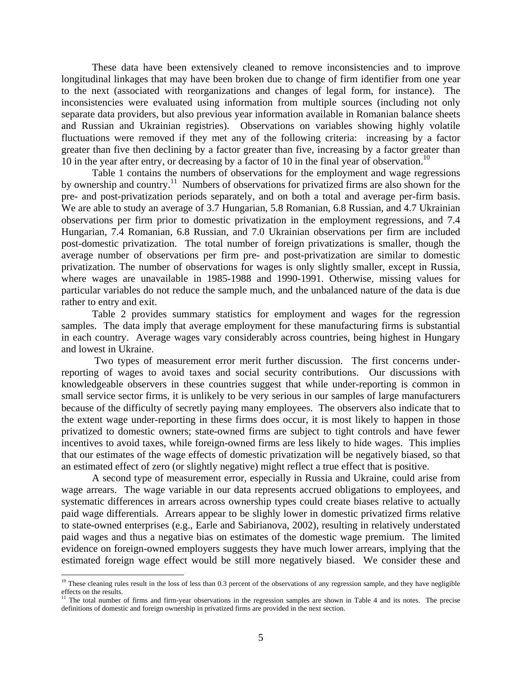These data have been extensively cleaned to remove inconsistencies and to improve longitudinal linkages that may have been broken due to change of firm identifier from one year to the next (associated with reorganizations and changes of legal form, for instance). The inconsistencies were evaluated using information from multiple sources (including not only separate data providers, but also previous year information available in Romanian balance sheets and Russian and Ukrainian registries). Observations on variables showing highly volatile fluctuations were removed if they met any of the following criteria: increasing by a factor greater than five then declining by a factor greater than five, increasing by a factor greater than [10](#page-7-0) in the year after entry, or decreasing by a factor of 10 in the final year of observation.<sup>10</sup>

Table 1 contains the numbers of observations for the employment and wage regressions by ownership and country.<sup>11</sup> Numbers of observations for privatized firms are also shown for the pre- and post-privatization periods separately, and on both a total and average per-firm basis. We are able to study an average of 3.7 Hungarian, 5.8 Romanian, 6.8 Russian, and 4.7 Ukrainian observations per firm prior to domestic privatization in the employment regressions, and 7.4 Hungarian, 7.4 Romanian, 6.8 Russian, and 7.0 Ukrainian observations per firm are included post-domestic privatization. The total number of foreign privatizations is smaller, though the average number of observations per firm pre- and post-privatization are similar to domestic privatization. The number of observations for wages is only slightly smaller, except in Russia, where wages are unavailable in 1985-1988 and 1990-1991. Otherwise, missing values for particular variables do not reduce the sample much, and the unbalanced nature of the data is due rather to entry and exit.

Table 2 provides summary statistics for employment and wages for the regression samples. The data imply that average employment for these manufacturing firms is substantial in each country. Average wages vary considerably across countries, being highest in Hungary and lowest in Ukraine.

Two types of measurement error merit further discussion. The first concerns underreporting of wages to avoid taxes and social security contributions. Our discussions with knowledgeable observers in these countries suggest that while under-reporting is common in small service sector firms, it is unlikely to be very serious in our samples of large manufacturers because of the difficulty of secretly paying many employees. The observers also indicate that to the extent wage under-reporting in these firms does occur, it is most likely to happen in those privatized to domestic owners; state-owned firms are subject to tight controls and have fewer incentives to avoid taxes, while foreign-owned firms are less likely to hide wages. This implies that our estimates of the wage effects of domestic privatization will be negatively biased, so that an estimated effect of zero (or slightly negative) might reflect a true effect that is positive.

A second type of measurement error, especially in Russia and Ukraine, could arise from wage arrears. The wage variable in our data represents accrued obligations to employees, and systematic differences in arrears across ownership types could create biases relative to actually paid wage differentials. Arrears appear to be slighly lower in domestic privatized firms relative to state-owned enterprises (e.g., Earle and Sabirianova, 2002), resulting in relatively understated paid wages and thus a negative bias on estimates of the domestic wage premium. The limited evidence on foreign-owned employers suggests they have much lower arrears, implying that the estimated foreign wage effect would be still more negatively biased. We consider these and

1

<span id="page-7-0"></span> $10$  These cleaning rules result in the loss of less than 0.3 percent of the observations of any regression sample, and they have negligible effects on the results.<br><sup>11</sup> The total number of firms and firm-year observations in the regression samples are shown in Table 4 and its notes. The precise

<span id="page-7-1"></span>definitions of domestic and foreign ownership in privatized firms are provided in the next section.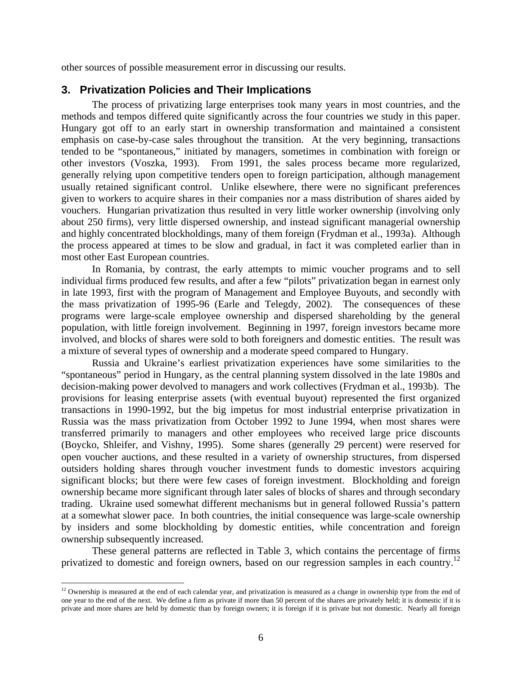other sources of possible measurement error in discussing our results.

### **3. Privatization Policies and Their Implications**

The process of privatizing large enterprises took many years in most countries, and the methods and tempos differed quite significantly across the four countries we study in this paper. Hungary got off to an early start in ownership transformation and maintained a consistent emphasis on case-by-case sales throughout the transition. At the very beginning, transactions tended to be "spontaneous," initiated by managers, sometimes in combination with foreign or other investors (Voszka, 1993). From 1991, the sales process became more regularized, generally relying upon competitive tenders open to foreign participation, although management usually retained significant control. Unlike elsewhere, there were no significant preferences given to workers to acquire shares in their companies nor a mass distribution of shares aided by vouchers. Hungarian privatization thus resulted in very little worker ownership (involving only about 250 firms), very little dispersed ownership, and instead significant managerial ownership and highly concentrated blockholdings, many of them foreign (Frydman et al., 1993a). Although the process appeared at times to be slow and gradual, in fact it was completed earlier than in most other East European countries.

In Romania, by contrast, the early attempts to mimic voucher programs and to sell individual firms produced few results, and after a few "pilots" privatization began in earnest only in late 1993, first with the program of Management and Employee Buyouts, and secondly with the mass privatization of 1995-96 (Earle and Telegdy, 2002). The consequences of these programs were large-scale employee ownership and dispersed shareholding by the general population, with little foreign involvement. Beginning in 1997, foreign investors became more involved, and blocks of shares were sold to both foreigners and domestic entities. The result was a mixture of several types of ownership and a moderate speed compared to Hungary.

Russia and Ukraine's earliest privatization experiences have some similarities to the "spontaneous" period in Hungary, as the central planning system dissolved in the late 1980s and decision-making power devolved to managers and work collectives (Frydman et al., 1993b). The provisions for leasing enterprise assets (with eventual buyout) represented the first organized transactions in 1990-1992, but the big impetus for most industrial enterprise privatization in Russia was the mass privatization from October 1992 to June 1994, when most shares were transferred primarily to managers and other employees who received large price discounts (Boycko, Shleifer, and Vishny, 1995). Some shares (generally 29 percent) were reserved for open voucher auctions, and these resulted in a variety of ownership structures, from dispersed outsiders holding shares through voucher investment funds to domestic investors acquiring significant blocks; but there were few cases of foreign investment. Blockholding and foreign ownership became more significant through later sales of blocks of shares and through secondary trading. Ukraine used somewhat different mechanisms but in general followed Russia's pattern at a somewhat slower pace. In both countries, the initial consequence was large-scale ownership by insiders and some blockholding by domestic entities, while concentration and foreign ownership subsequently increased.

These general patterns are reflected in Table 3, which contains the percentage of firms privatized to domestic and foreign owners, based on our regression samples in each country.<sup>12</sup>

<span id="page-8-0"></span><sup>1</sup>  $12$  Ownership is measured at the end of each calendar year, and privatization is measured as a change in ownership type from the end of one year to the end of the next. We define a firm as private if more than 50 percent of the shares are privately held; it is domestic if it is private and more shares are held by domestic than by foreign owners; it is foreign if it is private but not domestic. Nearly all foreign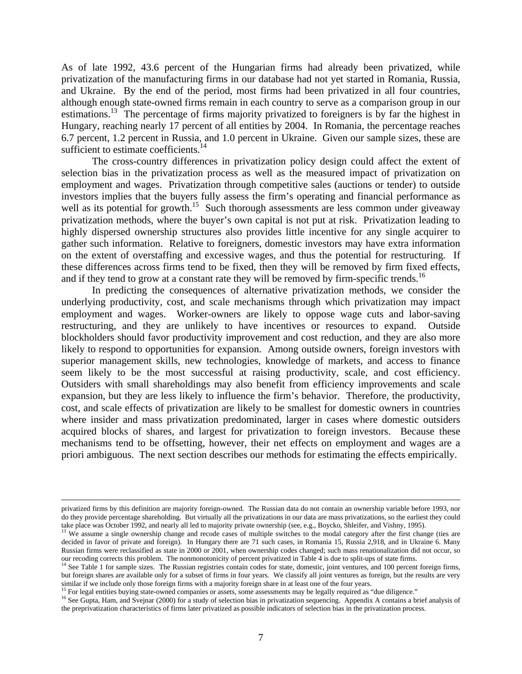As of late 1992, 43.6 percent of the Hungarian firms had already been privatized, while privatization of the manufacturing firms in our database had not yet started in Romania, Russia, and Ukraine. By the end of the period, most firms had been privatized in all four countries, although enough state-owned firms remain in each country to serve as a comparison group in our estimations.<sup>13</sup> The percentage of firms majority privatized to foreigners is by far the highest in Hungary, reaching nearly 17 percent of all entities by 2004. In Romania, the percentage reaches 6.7 percent, 1.2 percent in Russia, and 1.0 percent in Ukraine. Given our sample sizes, these are sufficient to estimate coefficients.<sup>[14](#page-9-1)</sup>

The cross-country differences in privatization policy design could affect the extent of selection bias in the privatization process as well as the measured impact of privatization on employment and wages. Privatization through competitive sales (auctions or tender) to outside investors implies that the buyers fully assess the firm's operating and financial performance as well as its potential for growth.<sup>15</sup> Such thorough assessments are less common under giveaway privatization methods, where the buyer's own capital is not put at risk. Privatization leading to highly dispersed ownership structures also provides little incentive for any single acquirer to gather such information. Relative to foreigners, domestic investors may have extra information on the extent of overstaffing and excessive wages, and thus the potential for restructuring. If these differences across firms tend to be fixed, then they will be removed by firm fixed effects, and if they tend to grow at a constant rate they will be removed by firm-specific trends.<sup>[16](#page-9-3)</sup>

In predicting the consequences of alternative privatization methods, we consider the underlying productivity, cost, and scale mechanisms through which privatization may impact employment and wages. Worker-owners are likely to oppose wage cuts and labor-saving restructuring, and they are unlikely to have incentives or resources to expand. Outside blockholders should favor productivity improvement and cost reduction, and they are also more likely to respond to opportunities for expansion. Among outside owners, foreign investors with superior management skills, new technologies, knowledge of markets, and access to finance seem likely to be the most successful at raising productivity, scale, and cost efficiency. Outsiders with small shareholdings may also benefit from efficiency improvements and scale expansion, but they are less likely to influence the firm's behavior. Therefore, the productivity, cost, and scale effects of privatization are likely to be smallest for domestic owners in countries where insider and mass privatization predominated, larger in cases where domestic outsiders acquired blocks of shares, and largest for privatization to foreign investors. Because these mechanisms tend to be offsetting, however, their net effects on employment and wages are a priori ambiguous. The next section describes our methods for estimating the effects empirically.

privatized firms by this definition are majority foreign-owned. The Russian data do not contain an ownership variable before 1993, nor do they provide percentage shareholding. But virtually all the privatizations in our data are mass privatizations, so the earliest they could take place was October 1992, and nearly all led to majority private ownership (s

<span id="page-9-0"></span><sup>&</sup>lt;sup>13</sup> We assume a single ownership change and recode cases of multiple switches to the modal category after the first change (ties are decided in favor of private and foreign). In Hungary there are 71 such cases, in Romania 15, Russia 2,918, and in Ukraine 6. Many Russian firms were reclassified as state in 2000 or 2001, when ownership codes changed; such mass renationalization did not occur, so our recoding corrects this problem. The nonmonotonicity of percent privatized in Table 4

<span id="page-9-1"></span><sup>&</sup>lt;sup>14</sup> See Table 1 for sample sizes. The Russian registries contain codes for state, domestic, joint ventures, and 100 percent foreign firms, but foreign shares are available only for a subset of firms in four years. We classify all joint ventures as foreign, but the results are very similar if we include only those foreign firms with a majority foreign share in at least one of the four years.<br><sup>15</sup> For legal entities buying state-owned companies or assets, some assessments may be legally required as "

<span id="page-9-2"></span>

<span id="page-9-3"></span>the preprivatization characteristics of firms later privatized as possible indicators of selection bias in the privatization process.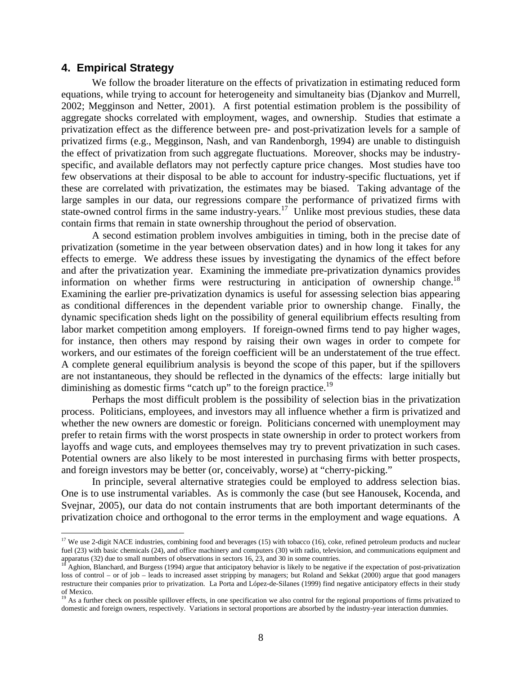#### **4. Empirical Strategy**

 $\overline{a}$ 

We follow the broader literature on the effects of privatization in estimating reduced form equations, while trying to account for heterogeneity and simultaneity bias (Djankov and Murrell, 2002; Megginson and Netter, 2001). A first potential estimation problem is the possibility of aggregate shocks correlated with employment, wages, and ownership. Studies that estimate a privatization effect as the difference between pre- and post-privatization levels for a sample of privatized firms (e.g., Megginson, Nash, and van Randenborgh, 1994) are unable to distinguish the effect of privatization from such aggregate fluctuations. Moreover, shocks may be industryspecific, and available deflators may not perfectly capture price changes. Most studies have too few observations at their disposal to be able to account for industry-specific fluctuations, yet if these are correlated with privatization, the estimates may be biased. Taking advantage of the large samples in our data, our regressions compare the performance of privatized firms with state-owned control firms in the same industry-years.<sup>17</sup> Unlike most previous studies, these data contain firms that remain in state ownership throughout the period of observation.

A second estimation problem involves ambiguities in timing, both in the precise date of privatization (sometime in the year between observation dates) and in how long it takes for any effects to emerge. We address these issues by investigating the dynamics of the effect before and after the privatization year. Examining the immediate pre-privatization dynamics provides information on whether firms were restructuring in anticipation of ownership change.<sup>18</sup> Examining the earlier pre-privatization dynamics is useful for assessing selection bias appearing as conditional differences in the dependent variable prior to ownership change. Finally, the dynamic specification sheds light on the possibility of general equilibrium effects resulting from labor market competition among employers. If foreign-owned firms tend to pay higher wages, for instance, then others may respond by raising their own wages in order to compete for workers, and our estimates of the foreign coefficient will be an understatement of the true effect. A complete general equilibrium analysis is beyond the scope of this paper, but if the spillovers are not instantaneous, they should be reflected in the dynamics of the effects: large initially but diminishing as domestic firms "catch up" to the foreign practice.<sup>[19](#page-10-2)</sup>

Perhaps the most difficult problem is the possibility of selection bias in the privatization process. Politicians, employees, and investors may all influence whether a firm is privatized and whether the new owners are domestic or foreign. Politicians concerned with unemployment may prefer to retain firms with the worst prospects in state ownership in order to protect workers from layoffs and wage cuts, and employees themselves may try to prevent privatization in such cases. Potential owners are also likely to be most interested in purchasing firms with better prospects, and foreign investors may be better (or, conceivably, worse) at "cherry-picking."

In principle, several alternative strategies could be employed to address selection bias. One is to use instrumental variables. As is commonly the case (but see Hanousek, Kocenda, and Svejnar, 2005), our data do not contain instruments that are both important determinants of the privatization choice and orthogonal to the error terms in the employment and wage equations. A

<span id="page-10-0"></span><sup>&</sup>lt;sup>17</sup> We use 2-digit NACE industries, combining food and beverages (15) with tobacco (16), coke, refined petroleum products and nuclear fuel (23) with basic chemicals (24), and office machinery and computers (30) with radio, television, and communications equipment and apparatus (32) due to small numbers of observations in sectors 16, 23, and 30 in some co

<span id="page-10-1"></span>Aghion, Blanchard, and Burgess (1994) argue that anticipatory behavior is likely to be negative if the expectation of post-privatization loss of control – or of job – leads to increased asset stripping by managers; but Roland and Sekkat (2000) argue that good managers restructure their companies prior to privatization. La Porta and López-de-Silanes (1999) find negative anticipatory effects in their study of Mexico.

<span id="page-10-2"></span><sup>&</sup>lt;sup>19</sup> As a further check on possible spillover effects, in one specification we also control for the regional proportions of firms privatized to domestic and foreign owners, respectively. Variations in sectoral proportions are absorbed by the industry-year interaction dummies.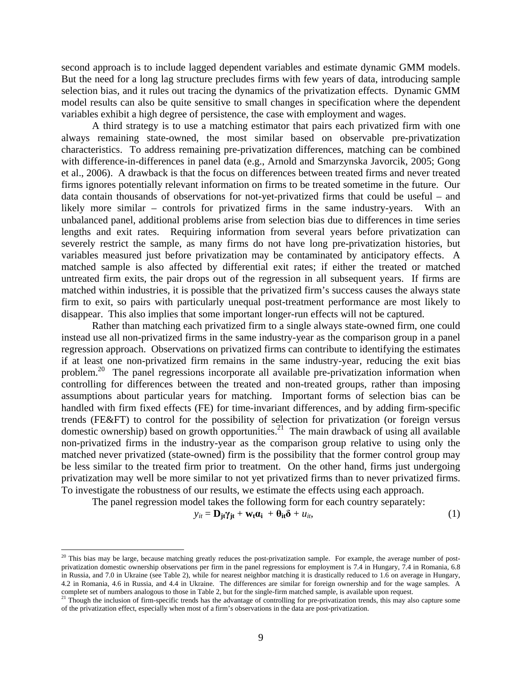second approach is to include lagged dependent variables and estimate dynamic GMM models. But the need for a long lag structure precludes firms with few years of data, introducing sample selection bias, and it rules out tracing the dynamics of the privatization effects. Dynamic GMM model results can also be quite sensitive to small changes in specification where the dependent variables exhibit a high degree of persistence, the case with employment and wages.

A third strategy is to use a matching estimator that pairs each privatized firm with one always remaining state-owned, the most similar based on observable pre-privatization characteristics. To address remaining pre-privatization differences, matching can be combined with difference-in-differences in panel data (e.g., Arnold and Smarzynska Javorcik, 2005; Gong et al., 2006). A drawback is that the focus on differences between treated firms and never treated firms ignores potentially relevant information on firms to be treated sometime in the future. Our data contain thousands of observations for not-yet-privatized firms that could be useful – and likely more similar – controls for privatized firms in the same industry-years. With an unbalanced panel, additional problems arise from selection bias due to differences in time series lengths and exit rates. Requiring information from several years before privatization can severely restrict the sample, as many firms do not have long pre-privatization histories, but variables measured just before privatization may be contaminated by anticipatory effects. A matched sample is also affected by differential exit rates; if either the treated or matched untreated firm exits, the pair drops out of the regression in all subsequent years. If firms are matched within industries, it is possible that the privatized firm's success causes the always state firm to exit, so pairs with particularly unequal post-treatment performance are most likely to disappear. This also implies that some important longer-run effects will not be captured.

Rather than matching each privatized firm to a single always state-owned firm, one could instead use all non-privatized firms in the same industry-year as the comparison group in a panel regression approach. Observations on privatized firms can contribute to identifying the estimates if at least one non-privatized firm remains in the same industry-year, reducing the exit bias problem.<sup>20</sup> The panel regressions incorporate all available pre-privatization information when controlling for differences between the treated and non-treated groups, rather than imposing assumptions about particular years for matching. Important forms of selection bias can be handled with firm fixed effects (FE) for time-invariant differences, and by adding firm-specific trends (FE&FT) to control for the possibility of selection for privatization (or foreign versus domestic ownership) based on growth opportunities.<sup>21</sup> The main drawback of using all available non-privatized firms in the industry-year as the comparison group relative to using only the matched never privatized (state-owned) firm is the possibility that the former control group may be less similar to the treated firm prior to treatment. On the other hand, firms just undergoing privatization may well be more similar to not yet privatized firms than to never privatized firms. To investigate the robustness of our results, we estimate the effects using each approach.

The panel regression model takes the following form for each country separately:

 $\overline{a}$ 

$$
y_{it} = \mathbf{D}_{jt} \gamma_{jt} + \mathbf{w}_t \mathbf{\alpha}_i + \mathbf{\theta}_{it} \delta + u_{it},
$$
 (1)

<span id="page-11-0"></span> $20$  This bias may be large, because matching greatly reduces the post-privatization sample. For example, the average number of postprivatization domestic ownership observations per firm in the panel regressions for employment is 7.4 in Hungary, 7.4 in Romania, 6.8 in Russia, and 7.0 in Ukraine (see Table 2), while for nearest neighbor matching it is drastically reduced to 1.6 on average in Hungary, 4.2 in Romania, 4.6 in Russia, and 4.4 in Ukraine. The differences are similar for foreign ownership and for the wage samples. A complete set of numbers analogous to those in Table 2, but for the single-firm matched sample, is available upon request.<br><sup>21</sup> Though the inclusion of firm-specific trends has the advantage of controlling for pre-privatiza

<span id="page-11-1"></span>of the privatization effect, especially when most of a firm's observations in the data are post-privatization.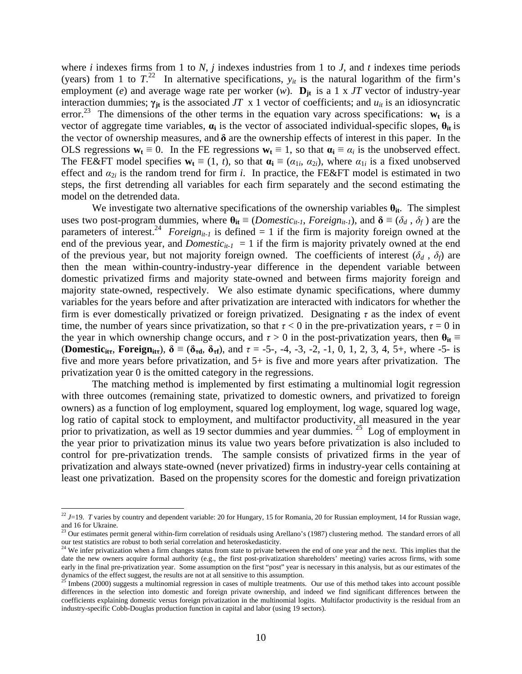where *i* indexes firms from 1 to *N*, *j* indexes industries from 1 to *J*, and *t* indexes time periods (years) from 1 to  $T^{22}$  In alternative specifications,  $y_{it}$  is the natural logarithm of the firm's employment (*e*) and average wage rate per worker (*w*).  $\mathbf{D}_{jt}$  is a 1 x *JT* vector of industry-year interaction dummies;  $\gamma_{it}$  is the associated *JT* x 1 vector of coefficients; and  $u_{it}$  is an idiosyncratic error.<sup>23</sup> The dimensions of the other terms in the equation vary across specifications:  $w_t$  is a vector of aggregate time variables, **αi** is the vector of associated individual-specific slopes, **θit** is the vector of ownership measures, and **δ** are the ownership effects of interest in this paper. In the OLS regressions  $w_t \equiv 0$ . In the FE regressions  $w_t \equiv 1$ , so that  $\alpha_i \equiv \alpha_i$  is the unobserved effect. The FE&FT model specifies  $\mathbf{w}_t \equiv (1, t)$ , so that  $\mathbf{a}_i \equiv (\alpha_{1i}, \alpha_{2i})$ , where  $\alpha_{1i}$  is a fixed unobserved effect and  $a_{2i}$  is the random trend for firm *i*. In practice, the FE&FT model is estimated in two steps, the first detrending all variables for each firm separately and the second estimating the model on the detrended data.

We investigate two alternative specifications of the ownership variables  $\theta_{it}$ . The simplest uses two post-program dummies, where  $\theta_{it} \equiv (Domestic_{it-1}, Foreign, Foreign_{it-1})$ , and  $\delta \equiv (\delta_d, \delta_f)$  are the parameters of interest.<sup>24</sup> *Foreign<sub>it-1</sub>* is defined = 1 if the firm is majority foreign owned at the end of the previous year, and *Domestic<sub>it-1</sub>* = 1 if the firm is majority privately owned at the end of the previous year, but not majority foreign owned. The coefficients of interest  $(\delta_d, \delta_f)$  are then the mean within-country-industry-year difference in the dependent variable between domestic privatized firms and majority state-owned and between firms majority foreign and majority state-owned, respectively. We also estimate dynamic specifications, where dummy variables for the years before and after privatization are interacted with indicators for whether the firm is ever domestically privatized or foreign privatized. Designating *τ* as the index of event time, the number of years since privatization, so that  $\tau < 0$  in the pre-privatization years,  $\tau = 0$  in the year in which ownership change occurs, and  $\tau > 0$  in the post-privatization years, then  $\theta_{it} \equiv$ **(Domestic**<sub>it</sub>, **Foreign**<sub>it</sub>),  $\delta \equiv (\delta_{\tau d}, \delta_{\tau f})$ , and  $\tau = -5$ -, -4, -3, -2, -1, 0, 1, 2, 3, 4, 5+, where -5- is five and more years before privatization, and 5+ is five and more years after privatization. The privatization year 0 is the omitted category in the regressions.

The matching method is implemented by first estimating a multinomial logit regression with three outcomes (remaining state, privatized to domestic owners, and privatized to foreign owners) as a function of log employment, squared log employment, log wage, squared log wage, log ratio of capital stock to employment, and multifactor productivity, all measured in the year prior to privatization, as well as 19 sector dummies and year dummies.  $25$  Log of employment in the year prior to privatization minus its value two years before privatization is also included to control for pre-privatization trends. The sample consists of privatized firms in the year of privatization and always state-owned (never privatized) firms in industry-year cells containing at least one privatization. Based on the propensity scores for the domestic and foreign privatization

1

<span id="page-12-0"></span> $^{22}$  J=19. *T* varies by country and dependent variable: 20 for Hungary, 15 for Romania, 20 for Russian employment, 14 for Russian wage, and 16 for Ukraine.<br><sup>23</sup> Our estimates permit general within-firm correlation of residuals using Arellano's (1987) clustering method. The standard errors of all

<span id="page-12-1"></span>our test statistics are robust to both serial correlation and heteroskedasticity. 24 We infer privatization when a firm changes status from state to private between the end of one year and the next. This implies that the

<span id="page-12-2"></span>date the new owners acquire formal authority (e.g., the first post-privatization shareholders' meeting) varies across firms, with some early in the final pre-privatization year. Some assumption on the first "post" year is necessary in this analysis, but as our estimates of the dynamics of the effect suggest, the results are not at all sensitive to this assumption.<br><sup>25</sup> Imbens (2000) suggests a multinomial regression in cases of multiple treatments. Our use of this method takes into account possi

<span id="page-12-3"></span>differences in the selection into domestic and foreign private ownership, and indeed we find significant differences between the coefficients explaining domestic versus foreign privatization in the multinomial logits. Multifactor productivity is the residual from an industry-specific Cobb-Douglas production function in capital and labor (using 19 sectors).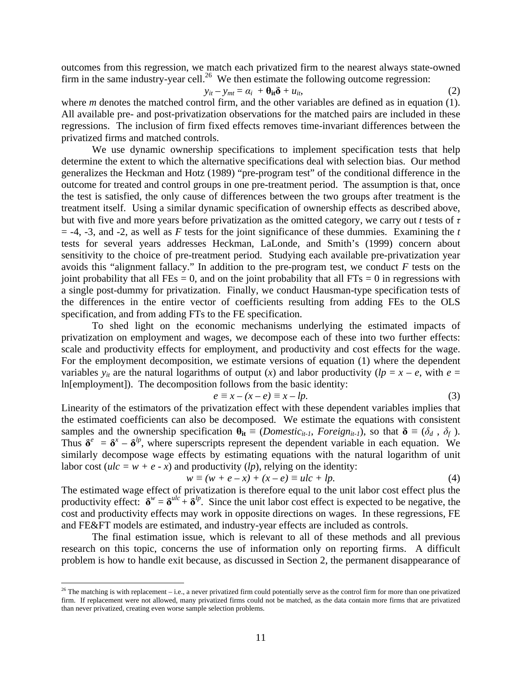outcomes from this regression, we match each privatized firm to the nearest always state-owned firm in the same industry-year cell.<sup>26</sup> We then estimate the following outcome regression:

$$
y_{it} - y_{mt} = \alpha_i + \theta_{it}\delta + u_{it}, \qquad (2)
$$

where *m* denotes the matched control firm, and the other variables are defined as in equation (1). All available pre- and post-privatization observations for the matched pairs are included in these regressions. The inclusion of firm fixed effects removes time-invariant differences between the privatized firms and matched controls.

We use dynamic ownership specifications to implement specification tests that help determine the extent to which the alternative specifications deal with selection bias. Our method generalizes the Heckman and Hotz (1989) "pre-program test" of the conditional difference in the outcome for treated and control groups in one pre-treatment period. The assumption is that, once the test is satisfied, the only cause of differences between the two groups after treatment is the treatment itself. Using a similar dynamic specification of ownership effects as described above, but with five and more years before privatization as the omitted category, we carry out *t* tests of *τ*  $=$  -4, -3, and -2, as well as *F* tests for the joint significance of these dummies. Examining the *t* tests for several years addresses Heckman, LaLonde, and Smith's (1999) concern about sensitivity to the choice of pre-treatment period. Studying each available pre-privatization year avoids this "alignment fallacy." In addition to the pre-program test, we conduct *F* tests on the joint probability that all  $\text{FEs} = 0$ , and on the joint probability that all  $\text{FTs} = 0$  in regressions with a single post-dummy for privatization. Finally, we conduct Hausman-type specification tests of the differences in the entire vector of coefficients resulting from adding FEs to the OLS specification, and from adding FTs to the FE specification.

To shed light on the economic mechanisms underlying the estimated impacts of privatization on employment and wages, we decompose each of these into two further effects: scale and productivity effects for employment, and productivity and cost effects for the wage. For the employment decomposition, we estimate versions of equation (1) where the dependent variables  $y_{it}$  are the natural logarithms of output (*x*) and labor productivity ( $lp = x - e$ , with  $e =$ ln[employment]). The decomposition follows from the basic identity:

$$
e \equiv x - (x - e) \equiv x - lp.
$$
 (3)

Linearity of the estimators of the privatization effect with these dependent variables implies that the estimated coefficients can also be decomposed. We estimate the equations with consistent samples and the ownership specification  $\theta_{it} \equiv (Domestic_{it-1}, Foreign_{it-1})$ , so that  $\delta \equiv (\delta_d, \delta_f)$ . Thus  $\delta^e = \delta^x - \delta^{lp}$ , where superscripts represent the dependent variable in each equation. We similarly decompose wage effects by estimating equations with the natural logarithm of unit labor cost ( $ulc = w + e - x$ ) and productivity (*lp*), relying on the identity:

$$
w \equiv (w + e - x) + (x - e) \equiv ulc + lp. \tag{4}
$$

The estimated wage effect of privatization is therefore equal to the unit labor cost effect plus the productivity effect:  $\delta^w = \delta^{ulc} + \delta^{lp}$ . Since the unit labor cost effect is expected to be negative, the cost and productivity effects may work in opposite directions on wages. In these regressions, FE and FE&FT models are estimated, and industry-year effects are included as controls.

The final estimation issue, which is relevant to all of these methods and all previous research on this topic, concerns the use of information only on reporting firms. A difficult problem is how to handle exit because, as discussed in Section 2, the permanent disappearance of

1

<span id="page-13-0"></span> $26$  The matching is with replacement – i.e., a never privatized firm could potentially serve as the control firm for more than one privatized firm. If replacement were not allowed, many privatized firms could not be matched, as the data contain more firms that are privatized than never privatized, creating even worse sample selection problems.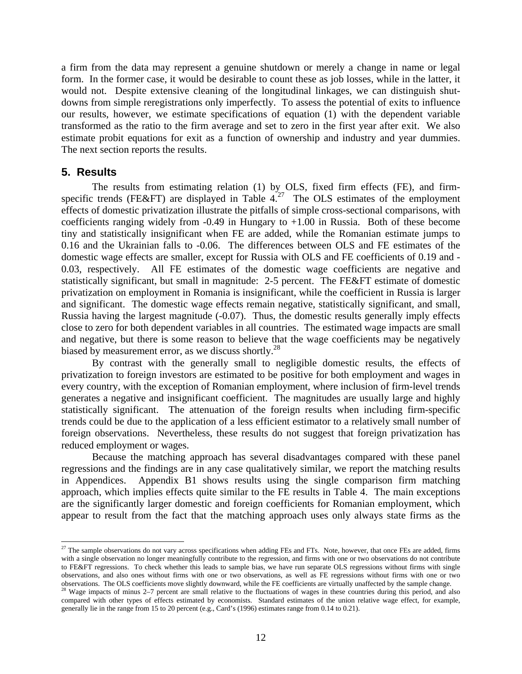a firm from the data may represent a genuine shutdown or merely a change in name or legal form. In the former case, it would be desirable to count these as job losses, while in the latter, it would not. Despite extensive cleaning of the longitudinal linkages, we can distinguish shutdowns from simple reregistrations only imperfectly. To assess the potential of exits to influence our results, however, we estimate specifications of equation (1) with the dependent variable transformed as the ratio to the firm average and set to zero in the first year after exit. We also estimate probit equations for exit as a function of ownership and industry and year dummies. The next section reports the results.

#### **5. Results**

 $\overline{a}$ 

The results from estimating relation (1) by OLS, fixed firm effects (FE), and firmspecific trends (FE&FT) are displayed in Table  $4.27$  The OLS estimates of the employment effects of domestic privatization illustrate the pitfalls of simple cross-sectional comparisons, with coefficients ranging widely from  $-0.49$  in Hungary to  $+1.00$  in Russia. Both of these become tiny and statistically insignificant when FE are added, while the Romanian estimate jumps to 0.16 and the Ukrainian falls to -0.06. The differences between OLS and FE estimates of the domestic wage effects are smaller, except for Russia with OLS and FE coefficients of 0.19 and - 0.03, respectively. All FE estimates of the domestic wage coefficients are negative and statistically significant, but small in magnitude: 2-5 percent. The FE&FT estimate of domestic privatization on employment in Romania is insignificant, while the coefficient in Russia is larger and significant. The domestic wage effects remain negative, statistically significant, and small, Russia having the largest magnitude (-0.07). Thus, the domestic results generally imply effects close to zero for both dependent variables in all countries. The estimated wage impacts are small and negative, but there is some reason to believe that the wage coefficients may be negatively biased by measurement error, as we discuss shortly.<sup>[28](#page-14-1)</sup>

By contrast with the generally small to negligible domestic results, the effects of privatization to foreign investors are estimated to be positive for both employment and wages in every country, with the exception of Romanian employment, where inclusion of firm-level trends generates a negative and insignificant coefficient. The magnitudes are usually large and highly statistically significant. The attenuation of the foreign results when including firm-specific trends could be due to the application of a less efficient estimator to a relatively small number of foreign observations. Nevertheless, these results do not suggest that foreign privatization has reduced employment or wages.

Because the matching approach has several disadvantages compared with these panel regressions and the findings are in any case qualitatively similar, we report the matching results in Appendices. Appendix B1 shows results using the single comparison firm matching approach, which implies effects quite similar to the FE results in Table 4. The main exceptions are the significantly larger domestic and foreign coefficients for Romanian employment, which appear to result from the fact that the matching approach uses only always state firms as the

<span id="page-14-0"></span> $27$  The sample observations do not vary across specifications when adding FEs and FTs. Note, however, that once FEs are added, firms with a single observation no longer meaningfully contribute to the regression, and firms with one or two observations do not contribute to FE&FT regressions. To check whether this leads to sample bias, we have run separate OLS regressions without firms with single observations, and also ones without firms with one or two observations, as well as FE regressions without firms with one or two

<span id="page-14-1"></span>observations. The OLS coefficients move slightly downward, while the FE coefficients are virtually unaffected by the sample change.<br><sup>28</sup> Wage impacts of minus 2–7 percent are small relative to the fluctuations of wages in compared with other types of effects estimated by economists. Standard estimates of the union relative wage effect, for example, generally lie in the range from 15 to 20 percent (e.g., Card's (1996) estimates range from 0.14 to 0.21).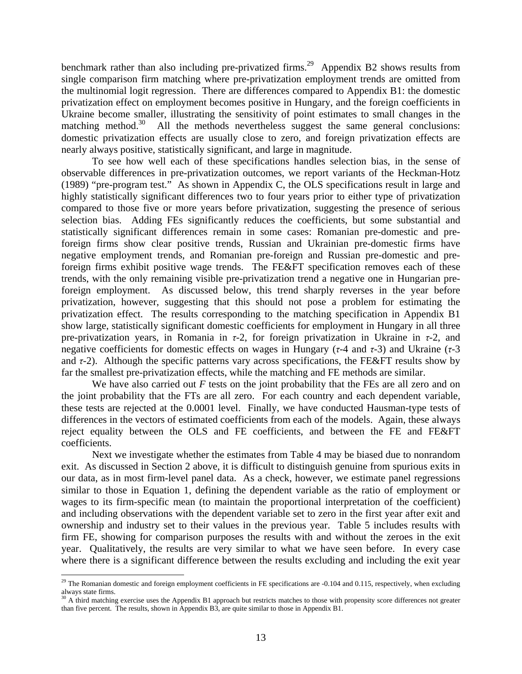benchmark rather than also including pre-privatized firms.<sup>29</sup> Appendix B2 shows results from single comparison firm matching where pre-privatization employment trends are omitted from the multinomial logit regression. There are differences compared to Appendix B1: the domestic privatization effect on employment becomes positive in Hungary, and the foreign coefficients in Ukraine become smaller, illustrating the sensitivity of point estimates to small changes in the matching method.<sup>30</sup> All the methods nevertheless suggest the same general conclusions: domestic privatization effects are usually close to zero, and foreign privatization effects are nearly always positive, statistically significant, and large in magnitude.

To see how well each of these specifications handles selection bias, in the sense of observable differences in pre-privatization outcomes, we report variants of the Heckman-Hotz (1989) "pre-program test." As shown in Appendix C, the OLS specifications result in large and highly statistically significant differences two to four years prior to either type of privatization compared to those five or more years before privatization, suggesting the presence of serious selection bias. Adding FEs significantly reduces the coefficients, but some substantial and statistically significant differences remain in some cases: Romanian pre-domestic and preforeign firms show clear positive trends, Russian and Ukrainian pre-domestic firms have negative employment trends, and Romanian pre-foreign and Russian pre-domestic and preforeign firms exhibit positive wage trends. The FE&FT specification removes each of these trends, with the only remaining visible pre-privatization trend a negative one in Hungarian preforeign employment. As discussed below, this trend sharply reverses in the year before privatization, however, suggesting that this should not pose a problem for estimating the privatization effect. The results corresponding to the matching specification in Appendix B1 show large, statistically significant domestic coefficients for employment in Hungary in all three pre-privatization years, in Romania in *τ*-2, for foreign privatization in Ukraine in *τ*-2, and negative coefficients for domestic effects on wages in Hungary (*τ*-4 and *τ*-3) and Ukraine (*τ*-3 and *τ*-2). Although the specific patterns vary across specifications, the FE&FT results show by far the smallest pre-privatization effects, while the matching and FE methods are similar.

We have also carried out *F* tests on the joint probability that the FEs are all zero and on the joint probability that the FTs are all zero. For each country and each dependent variable, these tests are rejected at the 0.0001 level. Finally, we have conducted Hausman-type tests of differences in the vectors of estimated coefficients from each of the models. Again, these always reject equality between the OLS and FE coefficients, and between the FE and FE&FT coefficients.

Next we investigate whether the estimates from Table 4 may be biased due to nonrandom exit. As discussed in Section 2 above, it is difficult to distinguish genuine from spurious exits in our data, as in most firm-level panel data. As a check, however, we estimate panel regressions similar to those in Equation 1, defining the dependent variable as the ratio of employment or wages to its firm-specific mean (to maintain the proportional interpretation of the coefficient) and including observations with the dependent variable set to zero in the first year after exit and ownership and industry set to their values in the previous year. Table 5 includes results with firm FE, showing for comparison purposes the results with and without the zeroes in the exit year. Qualitatively, the results are very similar to what we have seen before. In every case where there is a significant difference between the results excluding and including the exit year

1

<span id="page-15-0"></span><sup>&</sup>lt;sup>29</sup> The Romanian domestic and foreign employment coefficients in FE specifications are  $-0.104$  and  $0.115$ , respectively, when excluding always state firms.

<span id="page-15-1"></span> $30$  A third matching exercise uses the Appendix B1 approach but restricts matches to those with propensity score differences not greater than five percent. The results, shown in Appendix B3, are quite similar to those in Appendix B1.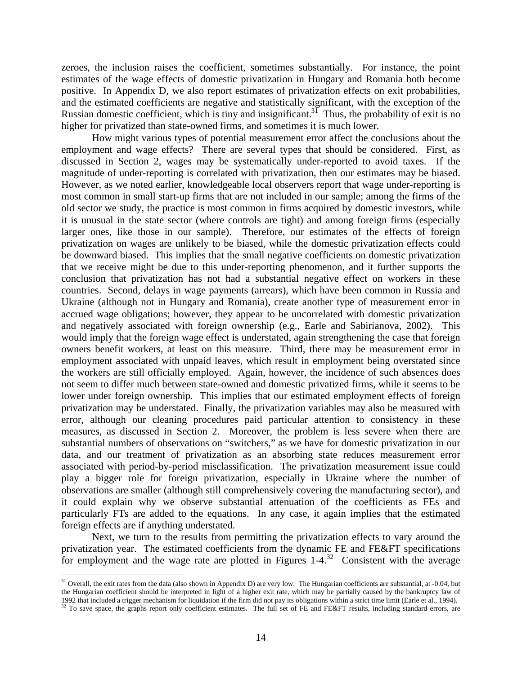zeroes, the inclusion raises the coefficient, sometimes substantially. For instance, the point estimates of the wage effects of domestic privatization in Hungary and Romania both become positive. In Appendix D, we also report estimates of privatization effects on exit probabilities, and the estimated coefficients are negative and statistically significant, with the exception of the Russian domestic coefficient, which is tiny and insignificant.<sup>31</sup> Thus, the probability of exit is no higher for privatized than state-owned firms, and sometimes it is much lower.

How might various types of potential measurement error affect the conclusions about the employment and wage effects? There are several types that should be considered. First, as discussed in Section 2, wages may be systematically under-reported to avoid taxes. If the magnitude of under-reporting is correlated with privatization, then our estimates may be biased. However, as we noted earlier, knowledgeable local observers report that wage under-reporting is most common in small start-up firms that are not included in our sample; among the firms of the old sector we study, the practice is most common in firms acquired by domestic investors, while it is unusual in the state sector (where controls are tight) and among foreign firms (especially larger ones, like those in our sample). Therefore, our estimates of the effects of foreign privatization on wages are unlikely to be biased, while the domestic privatization effects could be downward biased. This implies that the small negative coefficients on domestic privatization that we receive might be due to this under-reporting phenomenon, and it further supports the conclusion that privatization has not had a substantial negative effect on workers in these countries. Second, delays in wage payments (arrears), which have been common in Russia and Ukraine (although not in Hungary and Romania), create another type of measurement error in accrued wage obligations; however, they appear to be uncorrelated with domestic privatization and negatively associated with foreign ownership (e.g., Earle and Sabirianova, 2002). This would imply that the foreign wage effect is understated, again strengthening the case that foreign owners benefit workers, at least on this measure. Third, there may be measurement error in employment associated with unpaid leaves, which result in employment being overstated since the workers are still officially employed. Again, however, the incidence of such absences does not seem to differ much between state-owned and domestic privatized firms, while it seems to be lower under foreign ownership. This implies that our estimated employment effects of foreign privatization may be understated. Finally, the privatization variables may also be measured with error, although our cleaning procedures paid particular attention to consistency in these measures, as discussed in Section 2. Moreover, the problem is less severe when there are substantial numbers of observations on "switchers," as we have for domestic privatization in our data, and our treatment of privatization as an absorbing state reduces measurement error associated with period-by-period misclassification. The privatization measurement issue could play a bigger role for foreign privatization, especially in Ukraine where the number of observations are smaller (although still comprehensively covering the manufacturing sector), and it could explain why we observe substantial attenuation of the coefficients as FEs and particularly FTs are added to the equations. In any case, it again implies that the estimated foreign effects are if anything understated.

Next, we turn to the results from permitting the privatization effects to vary around the privatization year. The estimated coefficients from the dynamic FE and FE&FT specifications for employment and the wage rate are plotted in Figures  $1-4^{32}$  Consistent with the average

1

<span id="page-16-0"></span> $31$  Overall, the exit rates from the data (also shown in Appendix D) are very low. The Hungarian coefficients are substantial, at -0.04, but the Hungarian coefficient should be interpreted in light of a higher exit rate, which may be partially caused by the bankruptcy law of 1992 that included a trigger mechanism for liquidation if the firm did not pay its obli

<span id="page-16-1"></span><sup>&</sup>lt;sup>32</sup> To save space, the graphs report only coefficient estimates. The full set of FE and FE&FT results, including standard errors, are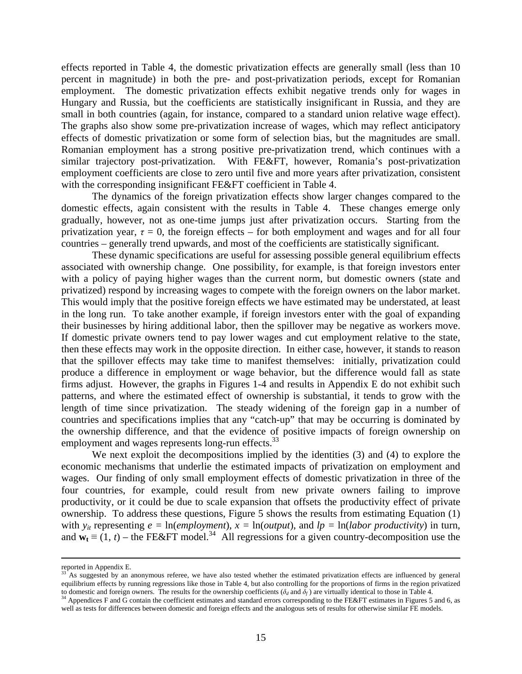effects reported in Table 4, the domestic privatization effects are generally small (less than 10 percent in magnitude) in both the pre- and post-privatization periods, except for Romanian employment. The domestic privatization effects exhibit negative trends only for wages in Hungary and Russia, but the coefficients are statistically insignificant in Russia, and they are small in both countries (again, for instance, compared to a standard union relative wage effect). The graphs also show some pre-privatization increase of wages, which may reflect anticipatory effects of domestic privatization or some form of selection bias, but the magnitudes are small. Romanian employment has a strong positive pre-privatization trend, which continues with a similar trajectory post-privatization. With FE&FT, however, Romania's post-privatization employment coefficients are close to zero until five and more years after privatization, consistent with the corresponding insignificant FE&FT coefficient in Table 4.

The dynamics of the foreign privatization effects show larger changes compared to the domestic effects, again consistent with the results in Table 4. These changes emerge only gradually, however, not as one-time jumps just after privatization occurs. Starting from the privatization year,  $\tau = 0$ , the foreign effects – for both employment and wages and for all four countries – generally trend upwards, and most of the coefficients are statistically significant.

These dynamic specifications are useful for assessing possible general equilibrium effects associated with ownership change. One possibility, for example, is that foreign investors enter with a policy of paying higher wages than the current norm, but domestic owners (state and privatized) respond by increasing wages to compete with the foreign owners on the labor market. This would imply that the positive foreign effects we have estimated may be understated, at least in the long run. To take another example, if foreign investors enter with the goal of expanding their businesses by hiring additional labor, then the spillover may be negative as workers move. If domestic private owners tend to pay lower wages and cut employment relative to the state, then these effects may work in the opposite direction. In either case, however, it stands to reason that the spillover effects may take time to manifest themselves: initially, privatization could produce a difference in employment or wage behavior, but the difference would fall as state firms adjust. However, the graphs in Figures 1-4 and results in Appendix E do not exhibit such patterns, and where the estimated effect of ownership is substantial, it tends to grow with the length of time since privatization. The steady widening of the foreign gap in a number of countries and specifications implies that any "catch-up" that may be occurring is dominated by the ownership difference, and that the evidence of positive impacts of foreign ownership on employment and wages represents long-run effects.<sup>[33](#page-17-0)</sup>

We next exploit the decompositions implied by the identities (3) and (4) to explore the economic mechanisms that underlie the estimated impacts of privatization on employment and wages. Our finding of only small employment effects of domestic privatization in three of the four countries, for example, could result from new private owners failing to improve productivity, or it could be due to scale expansion that offsets the productivity effect of private ownership. To address these questions, Figure 5 shows the results from estimating Equation (1) with  $y_{it}$  representing  $e = \ln(employment)$ ,  $x = \ln(output)$ , and  $lp = \ln(labor\,ivity)$  in turn, and  $\mathbf{w}_t = (1, t)$  – the FE&FT model.<sup>34</sup> All regressions for a given country-decomposition use the

<span id="page-17-0"></span>

reported in Appendix E.<br><sup>33</sup> As suggested by an anonymous referee, we have also tested whether the estimated privatization effects are influenced by general equilibrium effects by running regressions like those in Table 4, but also controlling for the proportions of firms in the region privatized to domestic and foreign owners. The results for the ownership coefficients ( $\delta_d$  and  $\delta_f$ ) are virtually identical to those in Table 4.<br><sup>34</sup> Appendices F and G contain the coefficient estimates and standard errors corre

<span id="page-17-1"></span>well as tests for differences between domestic and foreign effects and the analogous sets of results for otherwise similar FE models.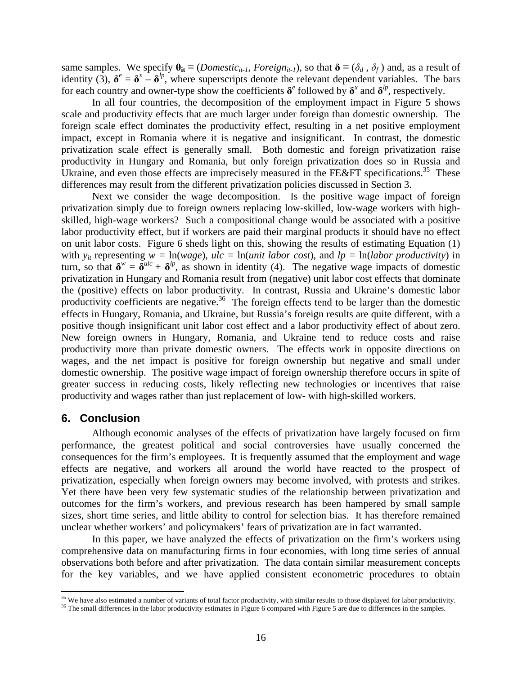same samples. We specify  $\theta_{it} \equiv (Domestic_{it-1}, Foreign, Foreign_{it-1})$ , so that  $\delta \equiv (\delta_d, \delta_f)$  and, as a result of identity (3),  $\delta^e = \delta^x - \delta^{lp}$ , where superscripts denote the relevant dependent variables. The bars for each country and owner-type show the coefficients  $\delta^e$  followed by  $\delta^x$  and  $\delta^{lp}$ , respectively.

In all four countries, the decomposition of the employment impact in Figure 5 shows scale and productivity effects that are much larger under foreign than domestic ownership. The foreign scale effect dominates the productivity effect, resulting in a net positive employment impact, except in Romania where it is negative and insignificant. In contrast, the domestic privatization scale effect is generally small. Both domestic and foreign privatization raise productivity in Hungary and Romania, but only foreign privatization does so in Russia and Ukraine, and even those effects are imprecisely measured in the FE&FT specifications.<sup>35</sup> These differences may result from the different privatization policies discussed in Section 3.

Next we consider the wage decomposition. Is the positive wage impact of foreign privatization simply due to foreign owners replacing low-skilled, low-wage workers with highskilled, high-wage workers? Such a compositional change would be associated with a positive labor productivity effect, but if workers are paid their marginal products it should have no effect on unit labor costs. Figure 6 sheds light on this, showing the results of estimating Equation (1) with  $y_{it}$  representing  $w = \ln(wage)$ ,  $ulc = \ln(unit labor cost)$ , and  $lp = \ln(labor productivity)$  in turn, so that  $\delta^w = \delta^{ulc} + \delta^{lp}$ , as shown in identity (4). The negative wage impacts of domestic privatization in Hungary and Romania result from (negative) unit labor cost effects that dominate the (positive) effects on labor productivity. In contrast, Russia and Ukraine's domestic labor productivity coefficients are negative.<sup>36</sup> The foreign effects tend to be larger than the domestic effects in Hungary, Romania, and Ukraine, but Russia's foreign results are quite different, with a positive though insignificant unit labor cost effect and a labor productivity effect of about zero. New foreign owners in Hungary, Romania, and Ukraine tend to reduce costs and raise productivity more than private domestic owners. The effects work in opposite directions on wages, and the net impact is positive for foreign ownership but negative and small under domestic ownership. The positive wage impact of foreign ownership therefore occurs in spite of greater success in reducing costs, likely reflecting new technologies or incentives that raise productivity and wages rather than just replacement of low- with high-skilled workers.

#### **6. Conclusion**

 $\overline{a}$ 

Although economic analyses of the effects of privatization have largely focused on firm performance, the greatest political and social controversies have usually concerned the consequences for the firm's employees. It is frequently assumed that the employment and wage effects are negative, and workers all around the world have reacted to the prospect of privatization, especially when foreign owners may become involved, with protests and strikes. Yet there have been very few systematic studies of the relationship between privatization and outcomes for the firm's workers, and previous research has been hampered by small sample sizes, short time series, and little ability to control for selection bias. It has therefore remained unclear whether workers' and policymakers' fears of privatization are in fact warranted.

In this paper, we have analyzed the effects of privatization on the firm's workers using comprehensive data on manufacturing firms in four economies, with long time series of annual observations both before and after privatization. The data contain similar measurement concepts for the key variables, and we have applied consistent econometric procedures to obtain

<span id="page-18-0"></span><sup>&</sup>lt;sup>35</sup> We have also estimated a number of variants of total factor productivity, with similar results to those displayed for labor productivity.<br><sup>36</sup> The small differences in the labor productivity estimates in Figure 6 com

<span id="page-18-1"></span>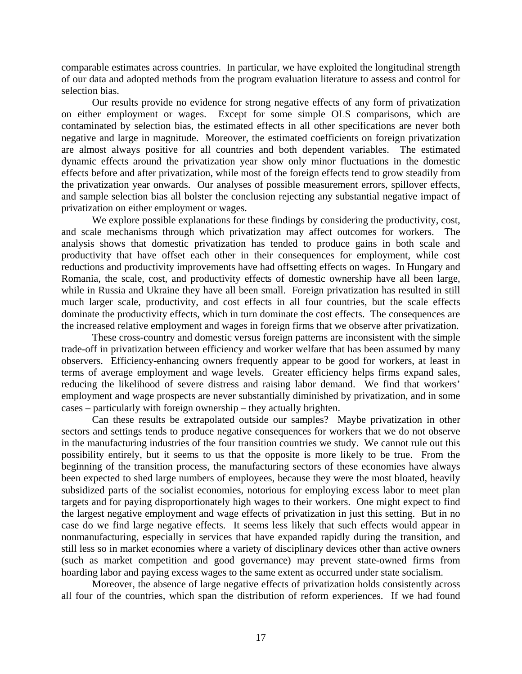comparable estimates across countries. In particular, we have exploited the longitudinal strength of our data and adopted methods from the program evaluation literature to assess and control for selection bias.

Our results provide no evidence for strong negative effects of any form of privatization on either employment or wages. Except for some simple OLS comparisons, which are contaminated by selection bias, the estimated effects in all other specifications are never both negative and large in magnitude. Moreover, the estimated coefficients on foreign privatization are almost always positive for all countries and both dependent variables. The estimated dynamic effects around the privatization year show only minor fluctuations in the domestic effects before and after privatization, while most of the foreign effects tend to grow steadily from the privatization year onwards. Our analyses of possible measurement errors, spillover effects, and sample selection bias all bolster the conclusion rejecting any substantial negative impact of privatization on either employment or wages.

We explore possible explanations for these findings by considering the productivity, cost, and scale mechanisms through which privatization may affect outcomes for workers. The analysis shows that domestic privatization has tended to produce gains in both scale and productivity that have offset each other in their consequences for employment, while cost reductions and productivity improvements have had offsetting effects on wages. In Hungary and Romania, the scale, cost, and productivity effects of domestic ownership have all been large, while in Russia and Ukraine they have all been small. Foreign privatization has resulted in still much larger scale, productivity, and cost effects in all four countries, but the scale effects dominate the productivity effects, which in turn dominate the cost effects. The consequences are the increased relative employment and wages in foreign firms that we observe after privatization.

These cross-country and domestic versus foreign patterns are inconsistent with the simple trade-off in privatization between efficiency and worker welfare that has been assumed by many observers. Efficiency-enhancing owners frequently appear to be good for workers, at least in terms of average employment and wage levels. Greater efficiency helps firms expand sales, reducing the likelihood of severe distress and raising labor demand. We find that workers' employment and wage prospects are never substantially diminished by privatization, and in some cases – particularly with foreign ownership – they actually brighten.

Can these results be extrapolated outside our samples? Maybe privatization in other sectors and settings tends to produce negative consequences for workers that we do not observe in the manufacturing industries of the four transition countries we study. We cannot rule out this possibility entirely, but it seems to us that the opposite is more likely to be true. From the beginning of the transition process, the manufacturing sectors of these economies have always been expected to shed large numbers of employees, because they were the most bloated, heavily subsidized parts of the socialist economies, notorious for employing excess labor to meet plan targets and for paying disproportionately high wages to their workers. One might expect to find the largest negative employment and wage effects of privatization in just this setting. But in no case do we find large negative effects. It seems less likely that such effects would appear in nonmanufacturing, especially in services that have expanded rapidly during the transition, and still less so in market economies where a variety of disciplinary devices other than active owners (such as market competition and good governance) may prevent state-owned firms from hoarding labor and paying excess wages to the same extent as occurred under state socialism.

Moreover, the absence of large negative effects of privatization holds consistently across all four of the countries, which span the distribution of reform experiences. If we had found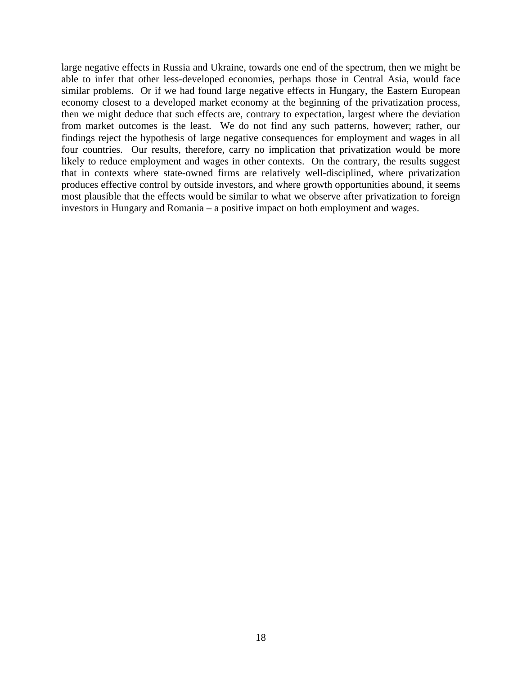large negative effects in Russia and Ukraine, towards one end of the spectrum, then we might be able to infer that other less-developed economies, perhaps those in Central Asia, would face similar problems. Or if we had found large negative effects in Hungary, the Eastern European economy closest to a developed market economy at the beginning of the privatization process, then we might deduce that such effects are, contrary to expectation, largest where the deviation from market outcomes is the least. We do not find any such patterns, however; rather, our findings reject the hypothesis of large negative consequences for employment and wages in all four countries. Our results, therefore, carry no implication that privatization would be more likely to reduce employment and wages in other contexts. On the contrary, the results suggest that in contexts where state-owned firms are relatively well-disciplined, where privatization produces effective control by outside investors, and where growth opportunities abound, it seems most plausible that the effects would be similar to what we observe after privatization to foreign investors in Hungary and Romania – a positive impact on both employment and wages.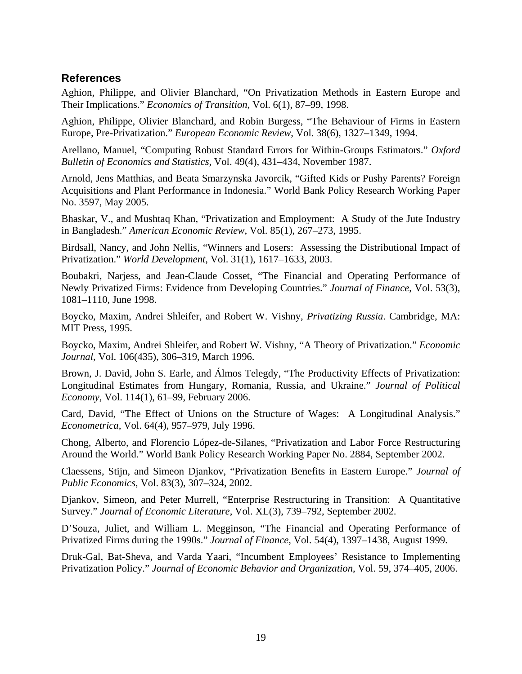#### **References**

Aghion, Philippe, and Olivier Blanchard, "On Privatization Methods in Eastern Europe and Their Implications." *Economics of Transition*, Vol. 6(1), 87–99, 1998.

Aghion, Philippe, Olivier Blanchard, and Robin Burgess, "The Behaviour of Firms in Eastern Europe, Pre-Privatization." *European Economic Review*, Vol. 38(6), 1327–1349, 1994.

Arellano, Manuel, "Computing Robust Standard Errors for Within-Groups Estimators." *Oxford Bulletin of Economics and Statistics,* Vol. 49(4), 431–434, November 1987.

Arnold, Jens Matthias, and Beata Smarzynska Javorcik, "Gifted Kids or Pushy Parents? Foreign Acquisitions and Plant Performance in Indonesia." World Bank Policy Research Working Paper No. 3597, May 2005.

Bhaskar, V., and Mushtaq Khan, "Privatization and Employment: A Study of the Jute Industry in Bangladesh." *American Economic Review*, Vol. 85(1), 267–273, 1995.

Birdsall, Nancy, and John Nellis, "Winners and Losers: Assessing the Distributional Impact of Privatization." *World Development*, Vol. 31(1), 1617–1633, 2003.

Boubakri, Narjess, and Jean-Claude Cosset, "The Financial and Operating Performance of Newly Privatized Firms: Evidence from Developing Countries." *Journal of Finance*, Vol. 53(3), 1081–1110, June 1998.

Boycko, Maxim, Andrei Shleifer, and Robert W. Vishny, *Privatizing Russia*. Cambridge, MA: MIT Press, 1995.

Boycko, Maxim, Andrei Shleifer, and Robert W. Vishny, "A Theory of Privatization." *Economic Journal*, Vol. 106(435), 306–319, March 1996.

Brown, J. David, John S. Earle, and Álmos Telegdy, "The Productivity Effects of Privatization: Longitudinal Estimates from Hungary, Romania, Russia, and Ukraine." *Journal of Political Economy*, Vol. 114(1), 61–99, February 2006.

Card, David, "The Effect of Unions on the Structure of Wages: A Longitudinal Analysis." *Econometrica*, Vol. 64(4), 957–979, July 1996.

Chong, Alberto, and Florencio López-de-Silanes, "Privatization and Labor Force Restructuring Around the World." World Bank Policy Research Working Paper No. 2884, September 2002.

Claessens, Stijn, and Simeon Djankov, "Privatization Benefits in Eastern Europe." *Journal of Public Economics*, Vol. 83(3), 307–324, 2002.

Djankov, Simeon, and Peter Murrell, "Enterprise Restructuring in Transition: A Quantitative Survey." *Journal of Economic Literature*, Vol. XL(3), 739–792, September 2002.

D'Souza, Juliet, and William L. Megginson, "The Financial and Operating Performance of Privatized Firms during the 1990s." *Journal of Finance*, Vol. 54(4), 1397–1438, August 1999.

Druk-Gal, Bat-Sheva, and Varda Yaari, "Incumbent Employees' Resistance to Implementing Privatization Policy." *Journal of Economic Behavior and Organization*, Vol. 59, 374–405, 2006.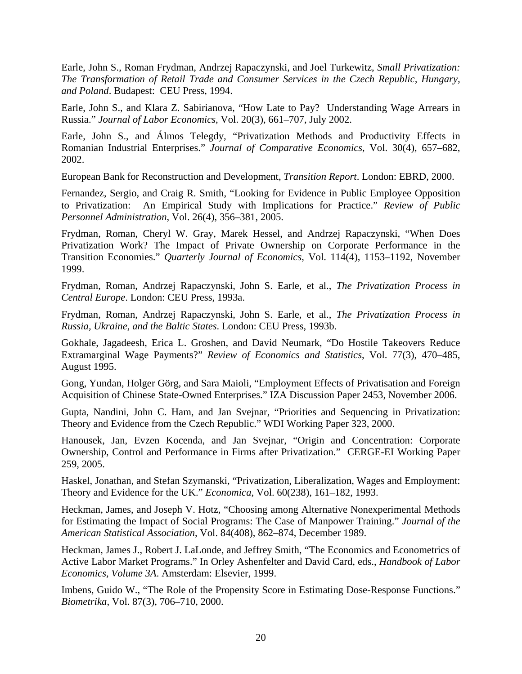Earle, John S., Roman Frydman, Andrzej Rapaczynski, and Joel Turkewitz, *Small Privatization: The Transformation of Retail Trade and Consumer Services in the Czech Republic, Hungary, and Poland*. Budapest: CEU Press, 1994.

Earle, John S., and Klara Z. Sabirianova, "How Late to Pay? Understanding Wage Arrears in Russia." *Journal of Labor Economics*, Vol. 20(3), 661–707, July 2002.

Earle, John S., and Álmos Telegdy, "Privatization Methods and Productivity Effects in Romanian Industrial Enterprises." *Journal of Comparative Economics*, Vol. 30(4), 657–682, 2002.

European Bank for Reconstruction and Development, *Transition Report*. London: EBRD, 2000.

Fernandez, Sergio, and Craig R. Smith, "Looking for Evidence in Public Employee Opposition to Privatization: An Empirical Study with Implications for Practice." *Review of Public Personnel Administration*, Vol. 26(4), 356–381, 2005.

Frydman, Roman, Cheryl W. Gray, Marek Hessel, and Andrzej Rapaczynski, "When Does Privatization Work? The Impact of Private Ownership on Corporate Performance in the Transition Economies." *Quarterly Journal of Economics*, Vol. 114(4), 1153–1192, November 1999.

Frydman, Roman, Andrzej Rapaczynski, John S. Earle, et al., *The Privatization Process in Central Europe*. London: CEU Press, 1993a.

Frydman, Roman, Andrzej Rapaczynski, John S. Earle, et al., *The Privatization Process in Russia, Ukraine, and the Baltic States*. London: CEU Press, 1993b.

Gokhale, Jagadeesh, Erica L. Groshen, and David Neumark, "Do Hostile Takeovers Reduce Extramarginal Wage Payments?" *Review of Economics and Statistics*, Vol. 77(3), 470–485, August 1995.

Gong, Yundan, Holger Görg, and Sara Maioli, "Employment Effects of Privatisation and Foreign Acquisition of Chinese State-Owned Enterprises." IZA Discussion Paper 2453, November 2006.

Gupta, Nandini, John C. Ham, and Jan Svejnar, "Priorities and Sequencing in Privatization: Theory and Evidence from the Czech Republic." WDI Working Paper 323, 2000.

Hanousek, Jan, Evzen Kocenda, and Jan Svejnar, "Origin and Concentration: Corporate Ownership, Control and Performance in Firms after Privatization." CERGE-EI Working Paper 259, 2005.

Haskel, Jonathan, and Stefan Szymanski, "Privatization, Liberalization, Wages and Employment: Theory and Evidence for the UK." *Economica*, Vol. 60(238), 161–182, 1993.

Heckman, James, and Joseph V. Hotz, "Choosing among Alternative Nonexperimental Methods for Estimating the Impact of Social Programs: The Case of Manpower Training." *Journal of the American Statistical Association*, Vol. 84(408), 862–874, December 1989.

Heckman, James J., Robert J. LaLonde, and Jeffrey Smith, "The Economics and Econometrics of Active Labor Market Programs." In Orley Ashenfelter and David Card, eds., *Handbook of Labor Economics, Volume 3A*. Amsterdam: Elsevier, 1999.

Imbens, Guido W., "The Role of the Propensity Score in Estimating Dose-Response Functions." *Biometrika*, Vol. 87(3), 706–710, 2000.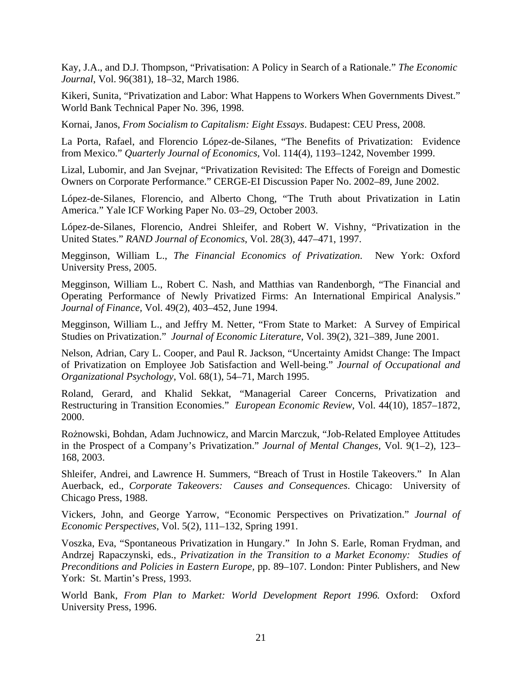Kay, J.A., and D.J. Thompson, "Privatisation: A Policy in Search of a Rationale." *The Economic Journal*, Vol. 96(381), 18–32, March 1986.

Kikeri, Sunita, "Privatization and Labor: What Happens to Workers When Governments Divest." World Bank Technical Paper No. 396, 1998.

Kornai, Janos, *From Socialism to Capitalism: Eight Essays*. Budapest: CEU Press, 2008.

La Porta, Rafael, and Florencio López-de-Silanes, "The Benefits of Privatization: Evidence from Mexico." *Quarterly Journal of Economics,* Vol. 114(4), 1193–1242, November 1999.

Lizal, Lubomir, and Jan Svejnar, "Privatization Revisited: The Effects of Foreign and Domestic Owners on Corporate Performance." CERGE-EI Discussion Paper No. 2002–89, June 2002.

López-de-Silanes, Florencio, and Alberto Chong, "The Truth about Privatization in Latin America." Yale ICF Working Paper No. 03–29, October 2003.

López-de-Silanes, Florencio, Andrei Shleifer, and Robert W. Vishny, "Privatization in the United States." *RAND Journal of Economics*, Vol. 28(3), 447–471, 1997.

Megginson, William L., *The Financial Economics of Privatization*. New York: Oxford University Press, 2005.

Megginson, William L., Robert C. Nash, and Matthias van Randenborgh, "The Financial and Operating Performance of Newly Privatized Firms: An International Empirical Analysis." *Journal of Finance,* Vol. 49(2), 403–452, June 1994.

Megginson, William L., and Jeffry M. Netter, "From State to Market: A Survey of Empirical Studies on Privatization." *Journal of Economic Literature*, Vol. 39(2), 321–389, June 2001.

Nelson, Adrian, Cary L. Cooper, and Paul R. Jackson, "Uncertainty Amidst Change: The Impact of Privatization on Employee Job Satisfaction and Well-being." *Journal of Occupational and Organizational Psychology*, Vol. 68(1), 54–71, March 1995.

Roland, Gerard, and Khalid Sekkat, "Managerial Career Concerns, Privatization and Restructuring in Transition Economies." *European Economic Review*, Vol. 44(10), 1857–1872, 2000.

Rożnowski, Bohdan, Adam Juchnowicz, and Marcin Marczuk, "Job-Related Employee Attitudes in the Prospect of a Company's Privatization." *Journal of Mental Changes,* Vol. 9(1–2), 123– 168, 2003.

Shleifer, Andrei, and Lawrence H. Summers, "Breach of Trust in Hostile Takeovers." In Alan Auerback, ed., *Corporate Takeovers: Causes and Consequences*. Chicago: University of Chicago Press, 1988.

Vickers, John, and George Yarrow, "Economic Perspectives on Privatization." *Journal of Economic Perspectives*, Vol. 5(2), 111–132, Spring 1991.

Voszka, Eva, "Spontaneous Privatization in Hungary." In John S. Earle, Roman Frydman, and Andrzej Rapaczynski, eds., *Privatization in the Transition to a Market Economy: Studies of Preconditions and Policies in Eastern Europe,* pp. 89–107. London: Pinter Publishers, and New York: St. Martin's Press, 1993.

World Bank, *From Plan to Market: World Development Report 1996.* Oxford: Oxford University Press, 1996.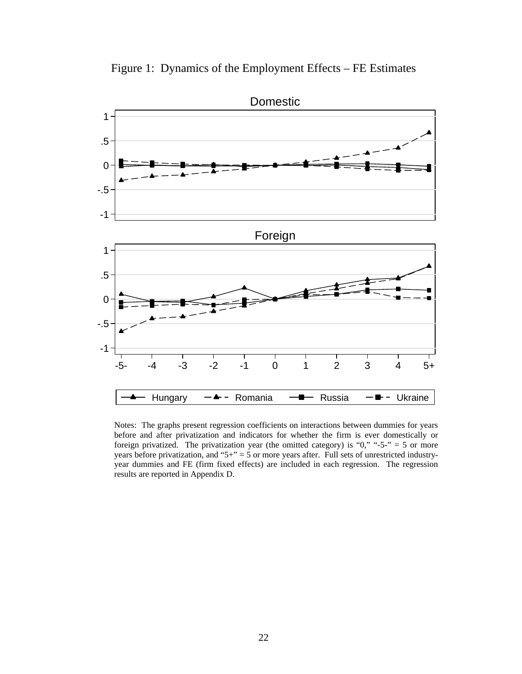



Notes: The graphs present regression coefficients on interactions between dummies for years before and after privatization and indicators for whether the firm is ever domestically or foreign privatized. The privatization year (the omitted category) is "0," "-5-" = 5 or more years before privatization, and " $5+$ " = 5 or more years after. Full sets of unrestricted industryyear dummies and FE (firm fixed effects) are included in each regression. The regression results are reported in Appendix D.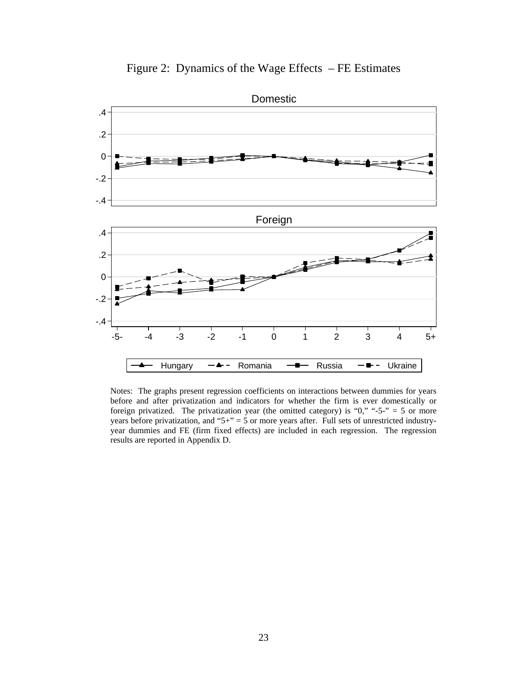



Notes: The graphs present regression coefficients on interactions between dummies for years before and after privatization and indicators for whether the firm is ever domestically or foreign privatized. The privatization year (the omitted category) is " $0$ ," "-5-" = 5 or more years before privatization, and " $5+$ " = 5 or more years after. Full sets of unrestricted industryyear dummies and FE (firm fixed effects) are included in each regression. The regression results are reported in Appendix D.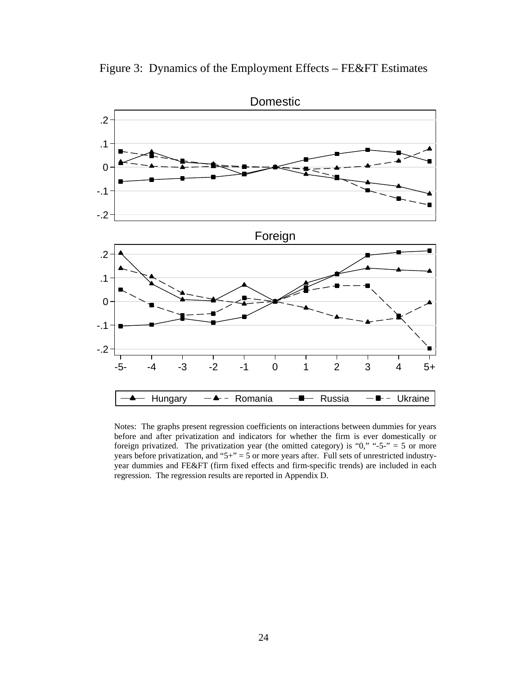Figure 3: Dynamics of the Employment Effects – FE&FT Estimates



 Notes: The graphs present regression coefficients on interactions between dummies for years before and after privatization and indicators for whether the firm is ever domestically or foreign privatized. The privatization year (the omitted category) is " $0$ ," "-5-" = 5 or more years before privatization, and "5+" = 5 or more years after. Full sets of unrestricted industryyear dummies and FE&FT (firm fixed effects and firm-specific trends) are included in each regression. The regression results are reported in Appendix D.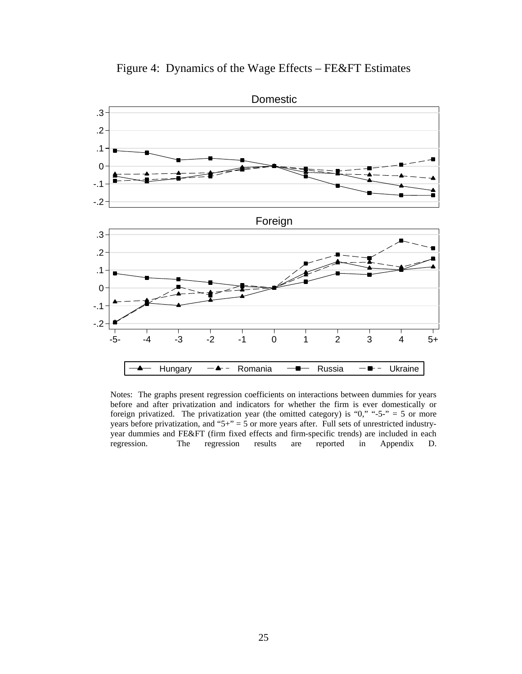



Notes: The graphs present regression coefficients on interactions between dummies for years before and after privatization and indicators for whether the firm is ever domestically or foreign privatized. The privatization year (the omitted category) is " $0$ ," "-5-" = 5 or more years before privatization, and " $5+$ " = 5 or more years after. Full sets of unrestricted industryyear dummies and FE&FT (firm fixed effects and firm-specific trends) are included in each regression. The regression results are reported in Appendix D.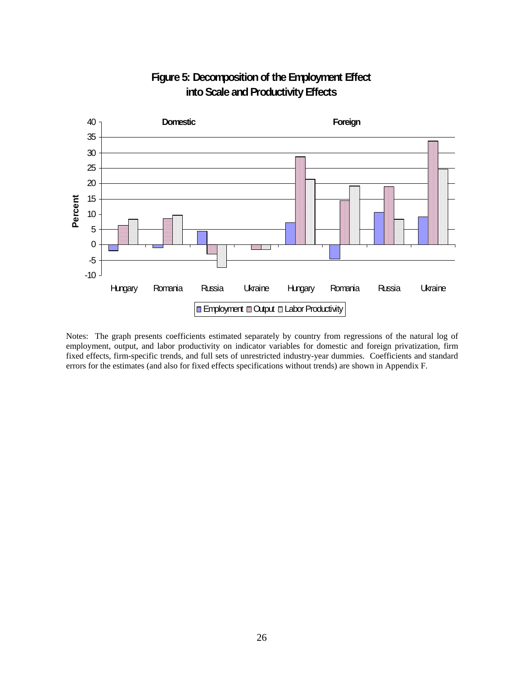

### **Figure 5: Decomposition of the Employment Effect into Scale and Productivity Effects**

Notes: The graph presents coefficients estimated separately by country from regressions of the natural log of employment, output, and labor productivity on indicator variables for domestic and foreign privatization, firm fixed effects, firm-specific trends, and full sets of unrestricted industry-year dummies. Coefficients and standard errors for the estimates (and also for fixed effects specifications without trends) are shown in Appendix F.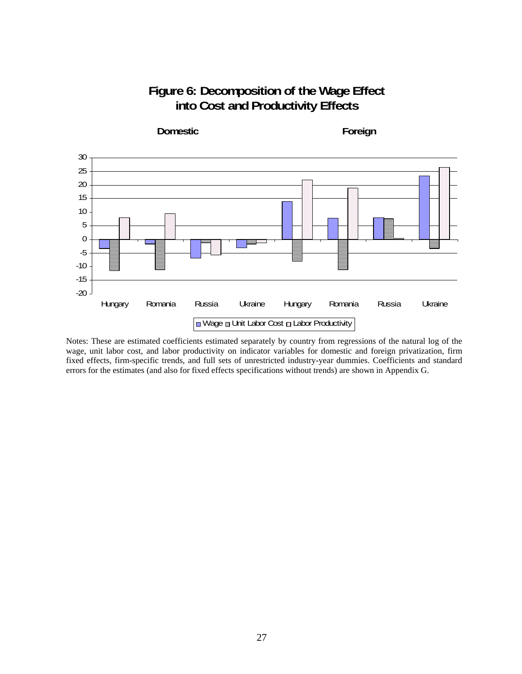### **Figure 6: Decomposition of the Wage Effect into Cost and Productivity Effects**



Notes: These are estimated coefficients estimated separately by country from regressions of the natural log of the wage, unit labor cost, and labor productivity on indicator variables for domestic and foreign privatization, firm fixed effects, firm-specific trends, and full sets of unrestricted industry-year dummies. Coefficients and standard errors for the estimates (and also for fixed effects specifications without trends) are shown in Appendix G.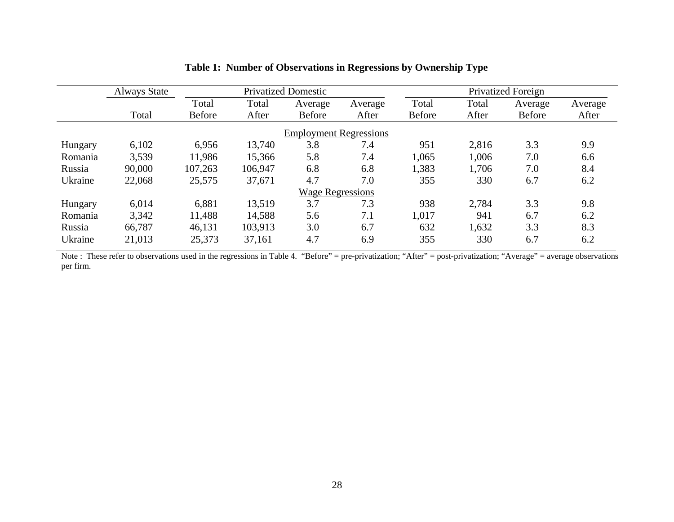|                         | <b>Always State</b> |               |         | <b>Privatized Domestic</b>    |         |               |       | Privatized Foreign |         |
|-------------------------|---------------------|---------------|---------|-------------------------------|---------|---------------|-------|--------------------|---------|
|                         |                     | Total         | Total   | Average                       | Average | Total         | Total | Average            | Average |
|                         | Total               | <b>Before</b> | After   | <b>Before</b>                 | After   | <b>Before</b> | After | <b>Before</b>      | After   |
|                         |                     |               |         | <b>Employment Regressions</b> |         |               |       |                    |         |
| Hungary                 | 6,102               | 6,956         | 13,740  | 3.8                           | 7.4     | 951           | 2,816 | 3.3                | 9.9     |
| Romania                 | 3,539               | 11,986        | 15,366  | 5.8                           | 7.4     | 1,065         | 1,006 | 7.0                | 6.6     |
| Russia                  | 90,000              | 107,263       | 106,947 | 6.8                           | 6.8     | 1,383         | 1,706 | 7.0                | 8.4     |
| Ukraine                 | 22,068              | 25,575        | 37,671  | 4.7                           | 7.0     | 355           | 330   | 6.7                | 6.2     |
| <b>Wage Regressions</b> |                     |               |         |                               |         |               |       |                    |         |
| Hungary                 | 6,014               | 6,881         | 13,519  | 3.7                           | 7.3     | 938           | 2,784 | 3.3                | 9.8     |
| Romania                 | 3,342               | 11,488        | 14,588  | 5.6                           | 7.1     | 1,017         | 941   | 6.7                | 6.2     |
| Russia                  | 66,787              | 46,131        | 103,913 | 3.0                           | 6.7     | 632           | 1,632 | 3.3                | 8.3     |
| Ukraine                 | 21,013              | 25,373        | 37,161  | 4.7                           | 6.9     | 355           | 330   | 6.7                | 6.2     |

### **Table 1: Number of Observations in Regressions by Ownership Type**

Note : These refer to observations used in the regressions in Table 4. "Before" = pre-privatization; "After" = post-privatization; "Average" = average observations per firm .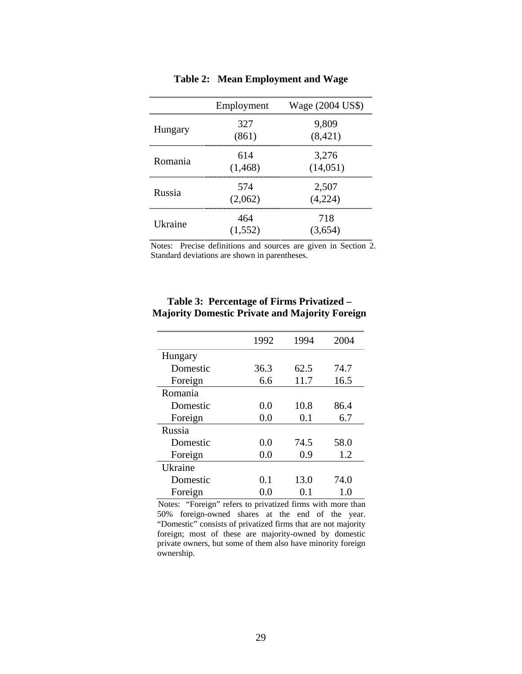|         | Employment      | Wage (2004 US\$)   |
|---------|-----------------|--------------------|
| Hungary | 327<br>(861)    | 9,809<br>(8, 421)  |
| Romania | 614<br>(1, 468) | 3,276<br>(14, 051) |
| Russia  | 574<br>(2,062)  | 2,507<br>(4,224)   |
| Ukraine | 464             | 718<br>3,654)      |

**Table 2: Mean Employment and Wage**

Notes: Precise definitions and sources are given in Section 2. Standard deviations are shown in parentheses.

|          | 1992 | 1994 | 2004 |
|----------|------|------|------|
| Hungary  |      |      |      |
| Domestic | 36.3 | 62.5 | 74.7 |
| Foreign  | 6.6  | 11.7 | 16.5 |
| Romania  |      |      |      |
| Domestic | 0.0  | 10.8 | 86.4 |
| Foreign  | 0.0  | 0.1  | 6.7  |
| Russia   |      |      |      |
| Domestic | 0.0  | 74.5 | 58.0 |
| Foreign  | 0.0  | 0.9  | 1.2  |
| Ukraine  |      |      |      |
| Domestic | 0.1  | 13.0 | 74.0 |
| Foreign  | 0.0  | 0.1  | 1.0  |

#### **Table 3: Percentage of Firms Privatized – Majority Domestic Private and Majority Foreign**

Notes: "Foreign" refers to privatized firms with more than 50% foreign-owned shares at the end of the year. "Domestic" consists of privatized firms that are not majority foreign; most of these are majority-owned by domestic private owners, but some of them also have minority foreign ownership.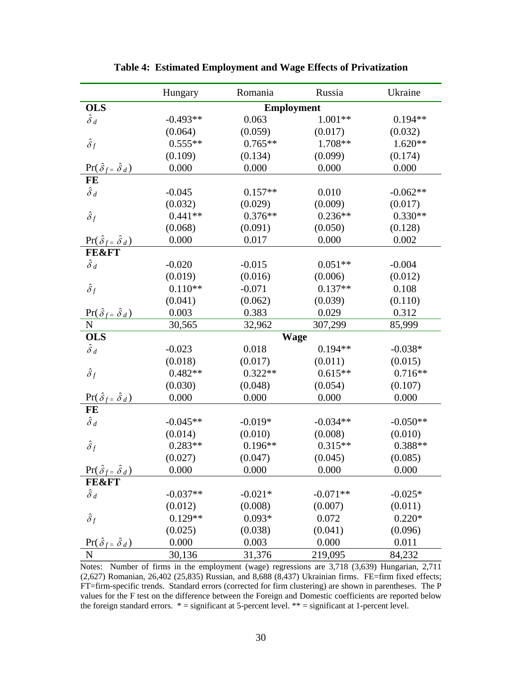|                                            | Hungary    | Romania           | Russia      | Ukraine    |
|--------------------------------------------|------------|-------------------|-------------|------------|
| <b>OLS</b>                                 |            | <b>Employment</b> |             |            |
| $\hat{\delta}_d$                           | $-0.493**$ | 0.063             | $1.001**$   | $0.194**$  |
|                                            | (0.064)    | (0.059)           | (0.017)     | (0.032)    |
| $\hat{\delta}_f$                           | $0.555**$  | $0.765**$         | 1.708**     | $1.620**$  |
|                                            | (0.109)    | (0.134)           | (0.099)     | (0.174)    |
| $\Pr(\hat{\delta}_f = \hat{\delta}_d)$     | 0.000      | 0.000             | 0.000       | 0.000      |
| FE                                         |            |                   |             |            |
| $\hat{\delta}$ d                           | $-0.045$   | $0.157**$         | 0.010       | $-0.062**$ |
|                                            | (0.032)    | (0.029)           | (0.009)     | (0.017)    |
| $\hat{\delta}_f$                           | $0.441**$  | $0.376**$         | $0.236**$   | $0.330**$  |
|                                            | (0.068)    | (0.091)           | (0.050)     | (0.128)    |
| $\Pr(\hat{\delta}_f = \hat{\delta}_d)$     | 0.000      | 0.017             | 0.000       | 0.002      |
| <b>FE&amp;FT</b>                           |            |                   |             |            |
| $\hat{\delta}_d$                           | $-0.020$   | $-0.015$          | $0.051**$   | $-0.004$   |
|                                            | (0.019)    | (0.016)           | (0.006)     | (0.012)    |
| $\hat{\delta}_f$                           | $0.110**$  | $-0.071$          | $0.137**$   | 0.108      |
|                                            | (0.041)    | (0.062)           | (0.039)     | (0.110)    |
| $\Pr(\hat{\delta}_{f} = \hat{\delta}_d)$   | 0.003      | 0.383             | 0.029       | 0.312      |
| N                                          | 30,565     | 32,962            | 307,299     | 85,999     |
| <b>OLS</b>                                 |            |                   | <b>Wage</b> |            |
| $\hat{\delta}$ d                           | $-0.023$   | 0.018             | $0.194**$   | $-0.038*$  |
|                                            | (0.018)    | (0.017)           | (0.011)     | (0.015)    |
| $\hat{\delta}_f$                           | $0.482**$  | $0.322**$         | $0.615**$   | $0.716**$  |
|                                            | (0.030)    | (0.048)           | (0.054)     | (0.107)    |
| $\Pr(\hat{\delta}_{f} = \hat{\delta}_d)$   | 0.000      | 0.000             | 0.000       | 0.000      |
| FE                                         |            |                   |             |            |
| $\hat{\delta}_d$                           | $-0.045**$ | $-0.019*$         | $-0.034**$  | $-0.050**$ |
|                                            | (0.014)    | (0.010)           | (0.008)     | (0.010)    |
| $\hat{\delta}_f$                           | $0.283**$  | $0.196**$         | $0.315**$   | $0.388**$  |
|                                            | (0.027)    | (0.047)           | (0.045)     | (0.085)    |
| $Pr(\hat{\delta}_{f} = \hat{\delta}_{d})$  | 0.000      | 0.000             | 0.000       | 0.000      |
| <b>FE&amp;FT</b>                           |            |                   |             |            |
| $\hat{\delta}_d$                           | $-0.037**$ | $-0.021*$         | $-0.071**$  | $-0.025*$  |
|                                            | (0.012)    | (0.008)           | (0.007)     | (0.011)    |
| $\hat{\delta}_f$                           | $0.129**$  | $0.093*$          | 0.072       | $0.220*$   |
|                                            | (0.025)    | (0.038)           | (0.041)     | (0.096)    |
| $\Pr(\hat{\delta}_{f} = \hat{\delta}_{d})$ | 0.000      | 0.003             | 0.000       | 0.011      |
| N                                          | 30,136     | 31,376            | 219,095     | 84,232     |

**Table 4: Estimated Employment and Wage Effects of Privatization** 

Notes: Number of firms in the employment (wage) regressions are 3,718 (3,639) Hungarian, 2,711 (2,627) Romanian, 26,402 (25,835) Russian, and 8,688 (8,437) Ukrainian firms. FE=firm fixed effects; FT=firm-specific trends. Standard errors (corrected for firm clustering) are shown in parentheses. The P values for the F test on the difference between the Foreign and Domestic coefficients are reported below the foreign standard errors.  $* =$  significant at 5-percent level.  $** =$  significant at 1-percent level.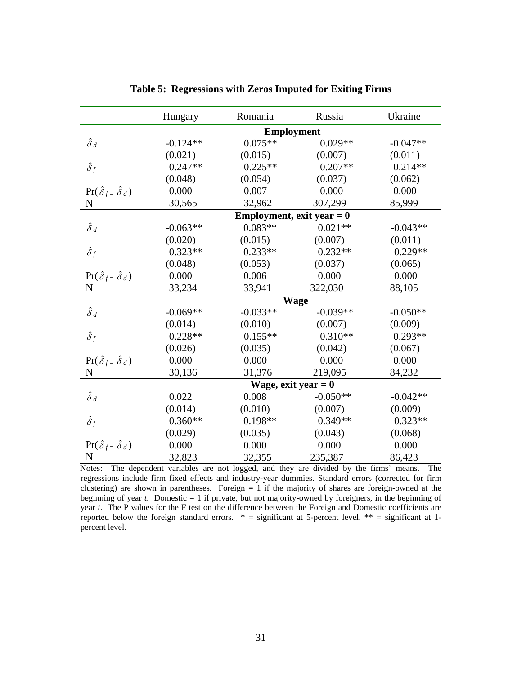|                                            | Hungary               | Romania                     | Russia     | Ukraine    |  |  |
|--------------------------------------------|-----------------------|-----------------------------|------------|------------|--|--|
|                                            |                       | <b>Employment</b>           |            |            |  |  |
| $\hat{\delta}$ d                           | $-0.124**$            | $0.075**$                   | $0.029**$  | $-0.047**$ |  |  |
|                                            | (0.021)               | (0.015)                     | (0.007)    | (0.011)    |  |  |
| $\hat{\delta}_f$                           | $0.247**$             | $0.225**$                   | $0.207**$  | $0.214**$  |  |  |
|                                            | (0.048)               | (0.054)                     | (0.037)    | (0.062)    |  |  |
| $\Pr(\hat{\delta}_{f} = \hat{\delta}_{d})$ | 0.000                 | 0.007                       | 0.000      | 0.000      |  |  |
| $\mathbf N$                                | 30,565                | 32,962                      | 307,299    | 85,999     |  |  |
|                                            |                       | Employment, exit year $= 0$ |            |            |  |  |
| $\hat{\delta}_d$                           | $-0.063**$            | $0.083**$                   | $0.021**$  | $-0.043**$ |  |  |
|                                            | (0.020)               | (0.015)                     | (0.007)    | (0.011)    |  |  |
| $\hat{\delta}_f$                           | $0.323**$             | $0.233**$                   | $0.232**$  | $0.229**$  |  |  |
|                                            | (0.048)               | (0.053)                     | (0.037)    | (0.065)    |  |  |
| $\Pr(\hat{\delta}_{f} = \hat{\delta}_{d})$ | 0.000                 | 0.006                       | 0.000      | 0.000      |  |  |
| N                                          | 33,234                | 33,941                      | 322,030    | 88,105     |  |  |
|                                            | <b>Wage</b>           |                             |            |            |  |  |
| $\hat{\delta}_d$                           | $-0.069**$            | $-0.033**$                  | $-0.039**$ | $-0.050**$ |  |  |
|                                            | (0.014)               | (0.010)                     | (0.007)    | (0.009)    |  |  |
| $\hat{\delta}_f$                           | $0.228**$             | $0.155**$                   | $0.310**$  | $0.293**$  |  |  |
|                                            | (0.026)               | (0.035)                     | (0.042)    | (0.067)    |  |  |
| $\Pr(\hat{\delta}_{f} = \hat{\delta}_d)$   | 0.000                 | 0.000                       | 0.000      | 0.000      |  |  |
| N                                          | 30,136                | 31,376                      | 219,095    | 84,232     |  |  |
|                                            | Wage, exit year $= 0$ |                             |            |            |  |  |
| $\hat{\delta}_d$                           | 0.022                 | 0.008                       | $-0.050**$ | $-0.042**$ |  |  |
|                                            | (0.014)               | (0.010)                     | (0.007)    | (0.009)    |  |  |
| $\hat{\delta}_f$                           | $0.360**$             | $0.198**$                   | $0.349**$  | $0.323**$  |  |  |
|                                            | (0.029)               | (0.035)                     | (0.043)    | (0.068)    |  |  |
| $\Pr(\hat{\delta}_{f} = \hat{\delta}_{d})$ | 0.000                 | 0.000                       | 0.000      | 0.000      |  |  |
| N                                          | 32,823                | 32,355                      | 235,387    | 86,423     |  |  |

**Table 5: Regressions with Zeros Imputed for Exiting Firms** 

Notes: The dependent variables are not logged, and they are divided by the firms' means. The regressions include firm fixed effects and industry-year dummies. Standard errors (corrected for firm clustering) are shown in parentheses. Foreign  $= 1$  if the majority of shares are foreign-owned at the beginning of year *t*. Domestic = 1 if private, but not majority-owned by foreigners, in the beginning of year *t*. The P values for the F test on the difference between the Foreign and Domestic coefficients are reported below the foreign standard errors.  $* =$  significant at 5-percent level.  $** =$  significant at 1percent level.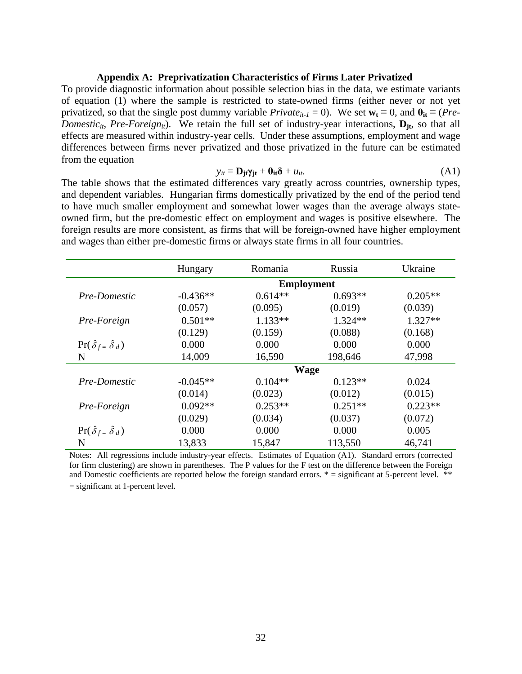#### **Appendix A: Preprivatization Characteristics of Firms Later Privatized**

To provide diagnostic information about possible selection bias in the data, we estimate variants of equation (1) where the sample is restricted to state-owned firms (either never or not yet privatized, so that the single post dummy variable *Private*<sub>it-1</sub> = 0). We set  $\mathbf{w}_t \equiv 0$ , and  $\mathbf{\theta}_{it} \equiv (Pre$ *Domestic<sub>it</sub>*, *Pre-Foreign<sub>it</sub>*). We retain the full set of industry-year interactions,  $D_{it}$ , so that all effects are measured within industry-year cells. Under these assumptions, employment and wage differences between firms never privatized and those privatized in the future can be estimated from the equation

$$
y_{it} = \mathbf{D}_{jt} \gamma_{jt} + \mathbf{\theta}_{it} \delta + u_{it}. \tag{A1}
$$

The table shows that the estimated differences vary greatly across countries, ownership types, and dependent variables. Hungarian firms domestically privatized by the end of the period tend to have much smaller employment and somewhat lower wages than the average always stateowned firm, but the pre-domestic effect on employment and wages is positive elsewhere. The foreign results are more consistent, as firms that will be foreign-owned have higher employment and wages than either pre-domestic firms or always state firms in all four countries.

|                                            | Hungary           | Romania   | Russia    | Ukraine   |  |  |  |
|--------------------------------------------|-------------------|-----------|-----------|-----------|--|--|--|
|                                            | <b>Employment</b> |           |           |           |  |  |  |
| Pre-Domestic                               | $-0.436**$        | $0.614**$ | $0.693**$ | $0.205**$ |  |  |  |
|                                            | (0.057)           | (0.095)   | (0.019)   | (0.039)   |  |  |  |
| Pre-Foreign                                | $0.501**$         | $1.133**$ | $1.324**$ | $1.327**$ |  |  |  |
|                                            | (0.129)           | (0.159)   | (0.088)   | (0.168)   |  |  |  |
| $\Pr(\hat{\delta}_{f} = \hat{\delta}_{d})$ | 0.000             | 0.000     | 0.000     | 0.000     |  |  |  |
| N                                          | 14,009            | 16,590    | 198,646   | 47,998    |  |  |  |
|                                            |                   | Wage      |           |           |  |  |  |
| Pre-Domestic                               | $-0.045**$        | $0.104**$ | $0.123**$ | 0.024     |  |  |  |
|                                            | (0.014)           | (0.023)   | (0.012)   | (0.015)   |  |  |  |
| Pre-Foreign                                | $0.092**$         | $0.253**$ | $0.251**$ | $0.223**$ |  |  |  |
|                                            | (0.029)           | (0.034)   | (0.037)   | (0.072)   |  |  |  |
| $\Pr(\hat{\delta}_{f} = \hat{\delta}_{d})$ | 0.000             | 0.000     | 0.000     | 0.005     |  |  |  |
| N                                          | 13,833            | 15,847    | 113,550   | 46,741    |  |  |  |

Notes: All regressions include industry-year effects. Estimates of Equation (A1). Standard errors (corrected for firm clustering) are shown in parentheses. The P values for the F test on the difference between the Foreign and Domestic coefficients are reported below the foreign standard errors.  $* =$  significant at 5-percent level.  $**$ = significant at 1-percent level*.*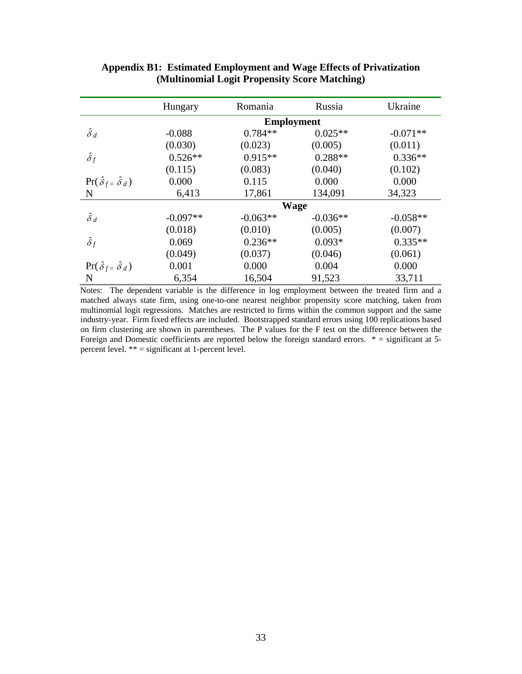|                                            | Hungary           | Romania    | Russia     | Ukraine    |  |  |  |
|--------------------------------------------|-------------------|------------|------------|------------|--|--|--|
|                                            | <b>Employment</b> |            |            |            |  |  |  |
| $\hat{\delta}_d$                           | $-0.088$          | $0.784**$  | $0.025**$  | $-0.071**$ |  |  |  |
|                                            | (0.030)           | (0.023)    | (0.005)    | (0.011)    |  |  |  |
| $\hat{\delta}_f$                           | $0.526**$         | $0.915**$  | $0.288**$  | $0.336**$  |  |  |  |
|                                            | (0.115)           | (0.083)    | (0.040)    | (0.102)    |  |  |  |
| $\Pr(\hat{\delta}_{f} = \hat{\delta}_{d})$ | 0.000             | 0.115      | 0.000      | 0.000      |  |  |  |
| N                                          | 6,413             | 17,861     | 134,091    | 34,323     |  |  |  |
|                                            | <b>Wage</b>       |            |            |            |  |  |  |
| $\hat{\delta}_d$                           | $-0.097**$        | $-0.063**$ | $-0.036**$ | $-0.058**$ |  |  |  |
|                                            | (0.018)           | (0.010)    | (0.005)    | (0.007)    |  |  |  |
| $\hat{\delta}_f$                           | 0.069             | $0.236**$  | $0.093*$   | $0.335**$  |  |  |  |
|                                            | (0.049)           | (0.037)    | (0.046)    | (0.061)    |  |  |  |
| $\Pr(\hat{\delta}_{f} = \hat{\delta}_{d})$ | 0.001             | 0.000      | 0.004      | 0.000      |  |  |  |
| N                                          | 6,354             | 16,504     | 91,523     | 33,711     |  |  |  |

**Appendix B1: Estimated Employment and Wage Effects of Privatization (Multinomial Logit Propensity Score Matching)** 

Notes: The dependent variable is the difference in log employment between the treated firm and a matched always state firm, using one-to-one nearest neighbor propensity score matching, taken from multinomial logit regressions. Matches are restricted to firms within the common support and the same industry-year. Firm fixed effects are included. Bootstrapped standard errors using 100 replications based on firm clustering are shown in parentheses. The P values for the F test on the difference between the Foreign and Domestic coefficients are reported below the foreign standard errors.  $* =$  significant at 5percent level.  $** =$  significant at 1-percent level.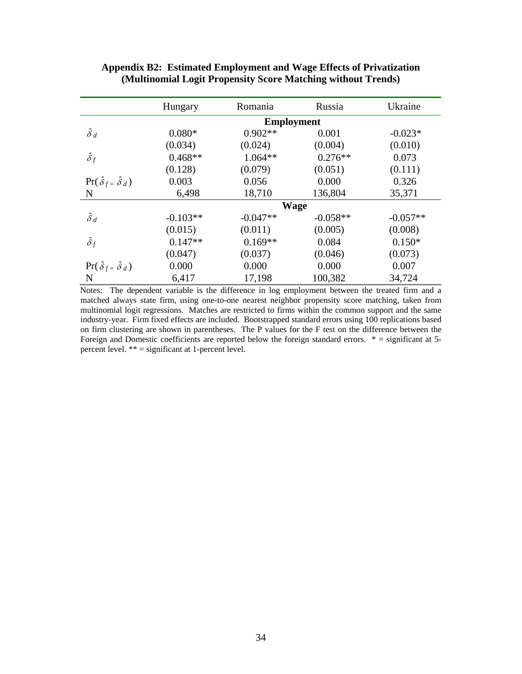|                                            | Hungary           | Romania    | Russia     | Ukraine    |  |  |  |
|--------------------------------------------|-------------------|------------|------------|------------|--|--|--|
|                                            | <b>Employment</b> |            |            |            |  |  |  |
| $\hat{\delta}_d$                           | $0.080*$          | $0.902**$  | 0.001      | $-0.023*$  |  |  |  |
|                                            | (0.034)           | (0.024)    | (0.004)    | (0.010)    |  |  |  |
| $\hat{\delta}_f$                           | $0.468**$         | $1.064**$  | $0.276**$  | 0.073      |  |  |  |
|                                            | (0.128)           | (0.079)    | (0.051)    | (0.111)    |  |  |  |
| $\Pr(\hat{\delta}_{f} = \hat{\delta}_{d})$ | 0.003             | 0.056      | 0.000      | 0.326      |  |  |  |
| N                                          | 6,498             | 18,710     | 136,804    | 35,371     |  |  |  |
|                                            | <b>Wage</b>       |            |            |            |  |  |  |
| $\hat{\delta}_d$                           | $-0.103**$        | $-0.047**$ | $-0.058**$ | $-0.057**$ |  |  |  |
|                                            | (0.015)           | (0.011)    | (0.005)    | (0.008)    |  |  |  |
| $\hat{\delta}_f$                           | $0.147**$         | $0.169**$  | 0.084      | $0.150*$   |  |  |  |
|                                            | (0.047)           | (0.037)    | (0.046)    | (0.073)    |  |  |  |
| $\Pr(\hat{\delta}_f = \hat{\delta}_d)$     | 0.000             | 0.000      | 0.000      | 0.007      |  |  |  |
| N                                          | 6,417             | 17,198     | 100,382    | 34,724     |  |  |  |

#### **Appendix B2: Estimated Employment and Wage Effects of Privatization (Multinomial Logit Propensity Score Matching without Trends)**

Notes: The dependent variable is the difference in log employment between the treated firm and a matched always state firm, using one-to-one nearest neighbor propensity score matching, taken from multinomial logit regressions. Matches are restricted to firms within the common support and the same industry-year. Firm fixed effects are included. Bootstrapped standard errors using 100 replications based on firm clustering are shown in parentheses. The P values for the F test on the difference between the Foreign and Domestic coefficients are reported below the foreign standard errors.  $* =$  significant at 5percent level. \*\* = significant at 1-percent level.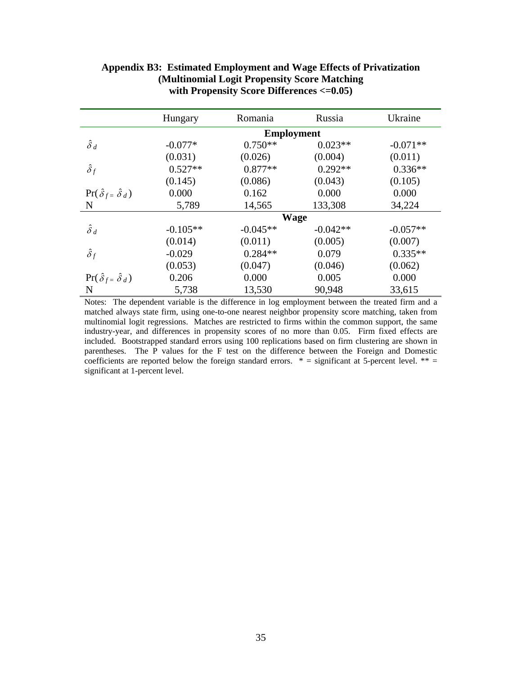|                                            | Hungary           | Romania    | Russia     | Ukraine    |  |  |  |
|--------------------------------------------|-------------------|------------|------------|------------|--|--|--|
|                                            | <b>Employment</b> |            |            |            |  |  |  |
| $\hat{\delta}_d$                           | $-0.077*$         | $0.750**$  | $0.023**$  | $-0.071**$ |  |  |  |
|                                            | (0.031)           | (0.026)    | (0.004)    | (0.011)    |  |  |  |
| $\hat{\delta}_f$                           | $0.527**$         | $0.877**$  | $0.292**$  | $0.336**$  |  |  |  |
|                                            | (0.145)           | (0.086)    | (0.043)    | (0.105)    |  |  |  |
| $\Pr(\hat{\delta}_{f} = \hat{\delta}_{d})$ | 0.000             | 0.162      | 0.000      | 0.000      |  |  |  |
| N                                          | 5,789             | 14,565     | 133,308    | 34,224     |  |  |  |
|                                            | <b>Wage</b>       |            |            |            |  |  |  |
| $\hat{\delta}_d$                           | $-0.105**$        | $-0.045**$ | $-0.042**$ | $-0.057**$ |  |  |  |
|                                            | (0.014)           | (0.011)    | (0.005)    | (0.007)    |  |  |  |
| $\hat{\delta}_f$                           | $-0.029$          | $0.284**$  | 0.079      | $0.335**$  |  |  |  |
|                                            | (0.053)           | (0.047)    | (0.046)    | (0.062)    |  |  |  |
| $\Pr(\hat{\delta}_{f} = \hat{\delta}_{d})$ | 0.206             | 0.000      | 0.005      | 0.000      |  |  |  |
| N                                          | 5,738             | 13,530     | 90,948     | 33,615     |  |  |  |

| Appendix B3: Estimated Employment and Wage Effects of Privatization |
|---------------------------------------------------------------------|
| (Multinomial Logit Propensity Score Matching)                       |
| with Propensity Score Differences $\leq 0.05$ )                     |

Notes: The dependent variable is the difference in log employment between the treated firm and a matched always state firm, using one-to-one nearest neighbor propensity score matching, taken from multinomial logit regressions. Matches are restricted to firms within the common support, the same industry-year, and differences in propensity scores of no more than 0.05. Firm fixed effects are included. Bootstrapped standard errors using 100 replications based on firm clustering are shown in parentheses. The P values for the F test on the difference between the Foreign and Domestic coefficients are reported below the foreign standard errors.  $* =$  significant at 5-percent level.  $** =$ significant at 1-percent level.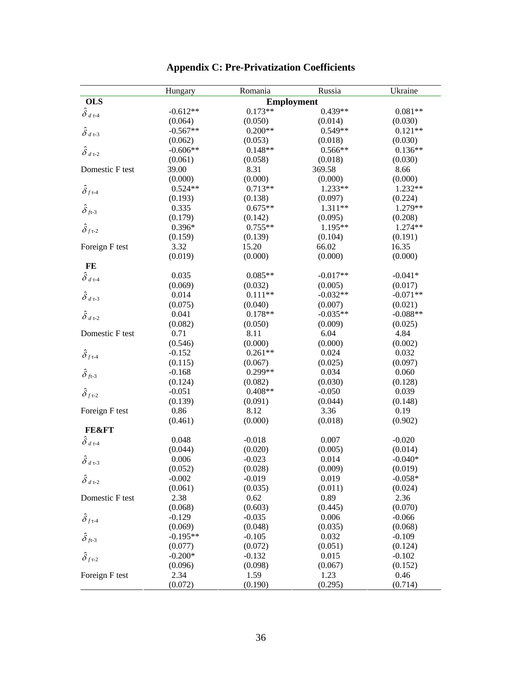|                                    | Hungary         | Romania         | Russia            | Ukraine         |
|------------------------------------|-----------------|-----------------|-------------------|-----------------|
| <b>OLS</b>                         |                 |                 | <b>Employment</b> |                 |
| $\hat{\delta}$ а т-4               | $-0.612**$      | $0.173**$       | $0.439**$         | $0.081**$       |
|                                    | (0.064)         | (0.050)         | (0.014)           | (0.030)         |
| $\hat{\delta}_{d\tau\text{-}3}$    | $-0.567**$      | $0.200**$       | $0.549**$         | $0.121**$       |
|                                    | (0.062)         | (0.053)         | (0.018)           | (0.030)         |
| $\hat{\delta}$ $_{d$ т-2           | $-0.606**$      | $0.148**$       | $0.566**$         | $0.136**$       |
|                                    | (0.061)         | (0.058)         | (0.018)           | (0.030)         |
| Domestic F test                    | 39.00           | 8.31            | 369.58            | 8.66            |
|                                    | (0.000)         | (0.000)         | (0.000)           | (0.000)         |
| $\hat{\delta}_{f\tau\text{-}4}$    | $0.524**$       | $0.713**$       | 1.233**           | 1.232**         |
|                                    | (0.193)         | (0.138)         | (0.097)           | (0.224)         |
| $\hat{\delta}_{f}$ <sub>7</sub> .3 | 0.335           | $0.675**$       | 1.311**           | 1.279**         |
|                                    | (0.179)         | (0.142)         | (0.095)           | (0.208)         |
| $\hat{\delta}_{f7-2}$              | $0.396*$        | $0.755**$       | 1.195**           | 1.274**         |
|                                    | (0.159)         | (0.139)         | (0.104)           | (0.191)         |
| Foreign F test                     | 3.32            | 15.20           | 66.02             | 16.35           |
|                                    | (0.019)         | (0.000)         | (0.000)           | (0.000)         |
| FE                                 |                 |                 |                   |                 |
| $\hat{\delta}$ d τ-4               | 0.035           | $0.085**$       | $-0.017**$        | $-0.041*$       |
|                                    | (0.069)         | (0.032)         | (0.005)           | (0.017)         |
| $\hat{\delta}_{d\tau\text{-}3}$    | 0.014           | $0.111**$       | $-0.032**$        | $-0.071**$      |
|                                    | (0.075)         | (0.040)         | (0.007)           | (0.021)         |
| $\hat{\delta}_{d\tau\text{-}2}$    | 0.041           | $0.178**$       | $-0.035**$        | $-0.088**$      |
|                                    | (0.082)         | (0.050)         | (0.009)           | (0.025)         |
| Domestic F test                    | 0.71            | 8.11            | 6.04              | 4.84            |
|                                    | (0.546)         | (0.000)         | (0.000)           | (0.002)         |
| $\hat{\delta}_{f\tau\text{-}4}$    | $-0.152$        | $0.261**$       | 0.024             | 0.032           |
|                                    | (0.115)         | (0.067)         | (0.025)           | (0.097)         |
| $\hat{\delta}_{f}$ <sub>7</sub> .3 | $-0.168$        | $0.299**$       | 0.034             | 0.060           |
|                                    | (0.124)         | (0.082)         | (0.030)           | (0.128)         |
| $\hat{\delta}_f$ <sub>1-2</sub>    | $-0.051$        | $0.408**$       | $-0.050$          | 0.039           |
|                                    | (0.139)         | (0.091)         | (0.044)           | (0.148)         |
| Foreign F test                     | 0.86            | 8.12            | 3.36              | 0.19            |
|                                    | (0.461)         | (0.000)         | (0.018)           | (0.902)         |
| <b>FE&amp;FT</b>                   |                 |                 |                   |                 |
| $\hat{\delta}$ d τ-4               | 0.048           | $-0.018$        | 0.007             | $-0.020$        |
|                                    | (0.044)         | (0.020)         | (0.005)           | (0.014)         |
|                                    | 0.006           | $-0.023$        | 0.014             | $-0.040*$       |
| $\hat{\delta}_{d\,\tau\text{-}3}$  | (0.052)         | (0.028)         | (0.009)           | (0.019)         |
|                                    | $-0.002$        | $-0.019$        | 0.019             | $-0.058*$       |
| $\hat{\delta}$ $_{d$ т-2           | (0.061)         | (0.035)         | (0.011)           | (0.024)         |
| Domestic F test                    | 2.38            | 0.62            | 0.89              | 2.36            |
|                                    | (0.068)         | (0.603)         | (0.445)           | (0.070)         |
|                                    | $-0.129$        | $-0.035$        | 0.006             | $-0.066$        |
| $\hat{\delta}_{f \tau \text{-} 4}$ | (0.069)         | (0.048)         | (0.035)           | (0.068)         |
|                                    | $-0.195**$      | $-0.105$        | 0.032             | $-0.109$        |
| $\hat{\delta}_{f}$ t-3             | (0.077)         | (0.072)         | (0.051)           | (0.124)         |
|                                    | $-0.200*$       | $-0.132$        | 0.015             | $-0.102$        |
| $\hat{\delta}_{f7-2}$              |                 |                 |                   |                 |
| Foreign F test                     | (0.096)<br>2.34 | (0.098)<br>1.59 | (0.067)<br>1.23   | (0.152)<br>0.46 |
|                                    |                 |                 |                   |                 |
|                                    | (0.072)         | (0.190)         | (0.295)           | (0.714)         |

## **Appendix C: Pre-Privatization Coefficients**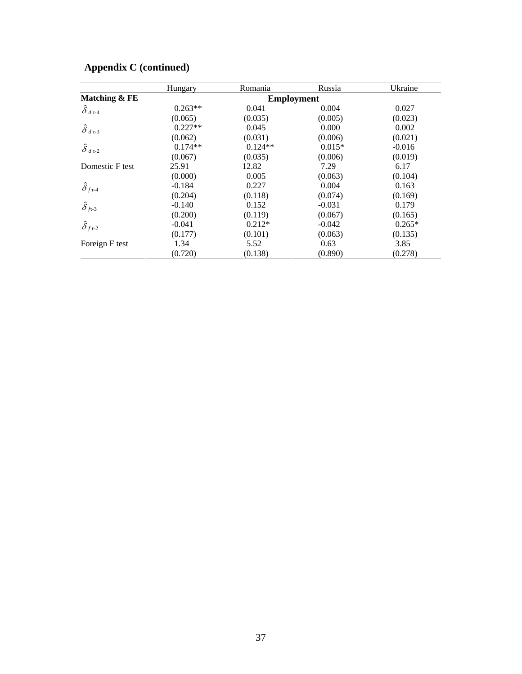|                                    | Hungary           | Romania   | Russia   | Ukraine  |  |  |
|------------------------------------|-------------------|-----------|----------|----------|--|--|
| Matching & FE                      | <b>Employment</b> |           |          |          |  |  |
| $\hat{\delta}$ d τ-4               | $0.263**$         | 0.041     | 0.004    | 0.027    |  |  |
|                                    | (0.065)           | (0.035)   | (0.005)  | (0.023)  |  |  |
| $\hat{\delta}_{d\tau}$             | $0.227**$         | 0.045     | 0.000    | 0.002    |  |  |
|                                    | (0.062)           | (0.031)   | (0.006)  | (0.021)  |  |  |
| $\hat{\delta}_{d\tau\text{-}2}$    | $0.174**$         | $0.124**$ | $0.015*$ | $-0.016$ |  |  |
|                                    | (0.067)           | (0.035)   | (0.006)  | (0.019)  |  |  |
| Domestic F test                    | 25.91             | 12.82     | 7.29     | 6.17     |  |  |
|                                    | (0.000)           | 0.005     | (0.063)  | (0.104)  |  |  |
| $\hat{\delta}_{f\tau\text{-}4}$    | $-0.184$          | 0.227     | 0.004    | 0.163    |  |  |
|                                    | (0.204)           | (0.118)   | (0.074)  | (0.169)  |  |  |
| $\hat{\delta}_{f}$ <sub>7</sub> -3 | $-0.140$          | 0.152     | $-0.031$ | 0.179    |  |  |
|                                    | (0.200)           | (0.119)   | (0.067)  | (0.165)  |  |  |
| $\hat{\delta}_f$ <sub>τ-2</sub>    | $-0.041$          | $0.212*$  | $-0.042$ | $0.265*$ |  |  |
|                                    | (0.177)           | (0.101)   | (0.063)  | (0.135)  |  |  |
| Foreign F test                     | 1.34              | 5.52      | 0.63     | 3.85     |  |  |
|                                    | (0.720)           | (0.138)   | (0.890)  | (0.278)  |  |  |

## **Appendix C (continued)**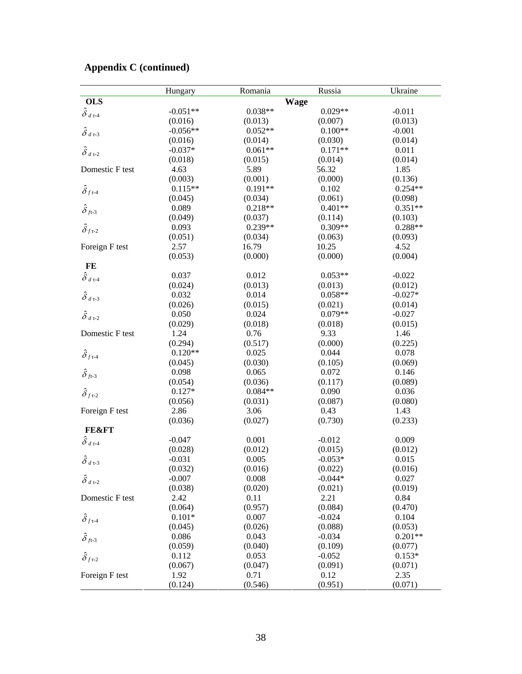## **Appendix C (continued)**

|                                    | Hungary    | Romania     | Russia    | Ukraine   |
|------------------------------------|------------|-------------|-----------|-----------|
| <b>OLS</b>                         |            | <b>Wage</b> |           |           |
| $\hat{\delta}$ d т-4               | $-0.051**$ | $0.038**$   | $0.029**$ | $-0.011$  |
|                                    | (0.016)    | (0.013)     | (0.007)   | (0.013)   |
| $\hat{\delta}_{d\tau\text{-}3}$    | $-0.056**$ | $0.052**$   | $0.100**$ | $-0.001$  |
|                                    | (0.016)    | (0.014)     | (0.030)   | (0.014)   |
| $\hat{\delta}_{d\tau-2}$           | $-0.037*$  | $0.061**$   | $0.171**$ | 0.011     |
|                                    | (0.018)    | (0.015)     | (0.014)   | (0.014)   |
| Domestic F test                    | 4.63       | 5.89        | 56.32     | 1.85      |
|                                    | (0.003)    | (0.001)     | (0.000)   | (0.136)   |
| $\hat{\delta}_{f \tau \text{-} 4}$ | $0.115**$  | $0.191**$   | 0.102     | $0.254**$ |
|                                    | (0.045)    | (0.034)     | (0.061)   | (0.098)   |
| $\hat{\delta}_{f}$ t-3             | 0.089      | $0.218**$   | $0.401**$ | $0.351**$ |
|                                    | (0.049)    | (0.037)     | (0.114)   | (0.103)   |
| $\hat{\delta}_{f7-2}$              | 0.093      | $0.239**$   | $0.309**$ | $0.288**$ |
|                                    | (0.051)    | (0.034)     | (0.063)   | (0.093)   |
| Foreign F test                     | 2.57       | 16.79       | 10.25     | 4.52      |
|                                    | (0.053)    | (0.000)     | (0.000)   | (0.004)   |
| FE                                 |            |             |           |           |
| $\hat{\delta}$ $_{d$ т-4           | 0.037      | 0.012       | $0.053**$ | $-0.022$  |
|                                    | (0.024)    | (0.013)     | (0.013)   | (0.012)   |
| $\hat{\delta}_{d\tau\text{-}3}$    | 0.032      | 0.014       | $0.058**$ | $-0.027*$ |
|                                    | (0.026)    | (0.015)     | (0.021)   | (0.014)   |
| $\hat{\delta}_{d\tau\text{-}2}$    | 0.050      | 0.024       | $0.079**$ | $-0.027$  |
|                                    | (0.029)    | (0.018)     | (0.018)   | (0.015)   |
| Domestic F test                    | 1.24       | 0.76        | 9.33      | 1.46      |
|                                    | (0.294)    | (0.517)     | (0.000)   | (0.225)   |
| $\hat{\delta}_{f \tau \text{-} 4}$ | $0.120**$  | 0.025       | 0.044     | 0.078     |
|                                    | (0.045)    | (0.030)     | (0.105)   | (0.069)   |
| $\hat{\delta}_{f1}$                | 0.098      | 0.065       | 0.072     | 0.146     |
|                                    | (0.054)    | (0.036)     | (0.117)   | (0.089)   |
| $\hat{\delta}_{f7-2}$              | $0.127*$   | $0.084**$   | 0.090     | 0.036     |
|                                    | (0.056)    | (0.031)     | (0.087)   | (0.080)   |
| Foreign F test                     | 2.86       | 3.06        | 0.43      | 1.43      |
|                                    | (0.036)    | (0.027)     | (0.730)   | (0.233)   |
| <b>FE&amp;FT</b>                   |            |             |           |           |
| $\hat{\delta}$ d т-4               | $-0.047$   | 0.001       | $-0.012$  | 0.009     |
|                                    | (0.028)    | (0.012)     | (0.015)   | (0.012)   |
| $\hat{\delta}_{d\tau\text{-}3}$    | $-0.031$   | 0.005       | $-0.053*$ | 0.015     |
|                                    | (0.032)    | (0.016)     | (0.022)   | (0.016)   |
| $\hat{\delta}_{d\tau\text{-}2}$    | $-0.007$   | 0.008       | $-0.044*$ | 0.027     |
|                                    | (0.038)    | (0.020)     | (0.021)   | (0.019)   |
| Domestic F test                    | 2.42       | 0.11        | 2.21      | 0.84      |
|                                    | (0.064)    | (0.957)     | (0.084)   | (0.470)   |
| $\hat{\delta}_{f \tau\text{-}4}$   | $0.101*$   | 0.007       | $-0.024$  | 0.104     |
|                                    | (0.045)    | (0.026)     | (0.088)   | (0.053)   |
| $\hat{\delta}_{f}$ + -3            | 0.086      | 0.043       | $-0.034$  | $0.201**$ |
|                                    | (0.059)    | (0.040)     | (0.109)   | (0.077)   |
| $\hat{\delta}_{f7-2}$              | 0.112      | 0.053       | $-0.052$  | $0.153*$  |
|                                    | (0.067)    | (0.047)     | (0.091)   | (0.071)   |
| Foreign F test                     | 1.92       | 0.71        | 0.12      | 2.35      |
|                                    | (0.124)    | (0.546)     | (0.951)   | (0.071)   |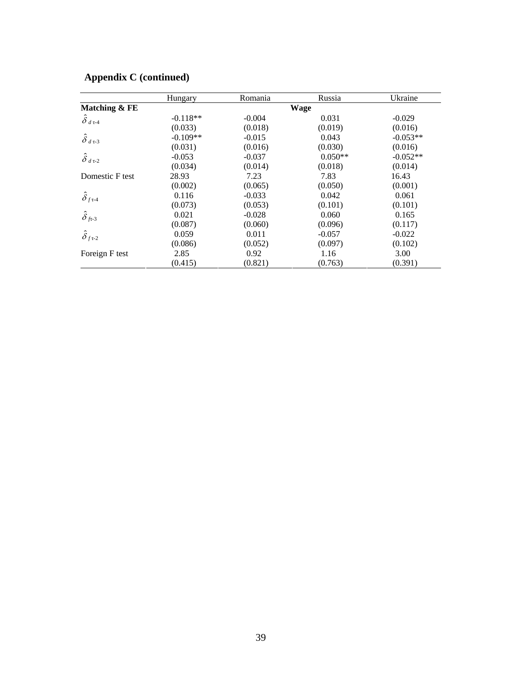|                                    | Hungary    | Romania  | Russia    | Ukraine    |  |
|------------------------------------|------------|----------|-----------|------------|--|
| Matching & FE                      | Wage       |          |           |            |  |
| $\hat{\delta}_{d\tau\text{-}4}$    | $-0.118**$ | $-0.004$ | 0.031     | $-0.029$   |  |
|                                    | (0.033)    | (0.018)  | (0.019)   | (0.016)    |  |
| $\hat{\delta}$ d t-3               | $-0.109**$ | $-0.015$ | 0.043     | $-0.053**$ |  |
|                                    | (0.031)    | (0.016)  | (0.030)   | (0.016)    |  |
| $\hat{\delta}_{d\tau\text{-}2}$    | $-0.053$   | $-0.037$ | $0.050**$ | $-0.052**$ |  |
|                                    | (0.034)    | (0.014)  | (0.018)   | (0.014)    |  |
| Domestic F test                    | 28.93      | 7.23     | 7.83      | 16.43      |  |
|                                    | (0.002)    | (0.065)  | (0.050)   | (0.001)    |  |
| $\hat{\delta}_{f \tau \text{-} 4}$ | 0.116      | $-0.033$ | 0.042     | 0.061      |  |
|                                    | (0.073)    | (0.053)  | (0.101)   | (0.101)    |  |
| $\hat{\delta}_{f}$ <sub>7</sub> -3 | 0.021      | $-0.028$ | 0.060     | 0.165      |  |
|                                    | (0.087)    | (0.060)  | (0.096)   | (0.117)    |  |
| $\hat{\delta}_{f7-2}$              | 0.059      | 0.011    | $-0.057$  | $-0.022$   |  |
|                                    | (0.086)    | (0.052)  | (0.097)   | (0.102)    |  |
| Foreign F test                     | 2.85       | 0.92     | 1.16      | 3.00       |  |
|                                    | (0.415)    | (0.821)  | (0.763)   | (0.391)    |  |

## **Appendix C (continued)**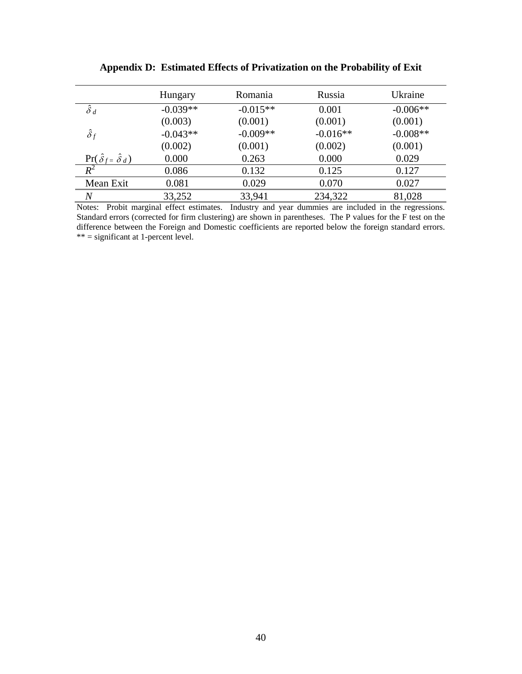|                                        | Hungary    | Romania    | Russia     | Ukraine    |
|----------------------------------------|------------|------------|------------|------------|
| $\hat{\delta}$ d                       | $-0.039**$ | $-0.015**$ | 0.001      | $-0.006**$ |
|                                        | (0.003)    | (0.001)    | (0.001)    | (0.001)    |
| $\hat{\delta}_f$                       | $-0.043**$ | $-0.009**$ | $-0.016**$ | $-0.008**$ |
|                                        | (0.002)    | (0.001)    | (0.002)    | (0.001)    |
| $\Pr(\hat{\delta}_f = \hat{\delta}_d)$ | 0.000      | 0.263      | 0.000      | 0.029      |
| $R^2$                                  | 0.086      | 0.132      | 0.125      | 0.127      |
| Mean Exit                              | 0.081      | 0.029      | 0.070      | 0.027      |
| $\overline{N}$                         | 33,252     | 33,941     | 234,322    | 81,028     |

**Appendix D: Estimated Effects of Privatization on the Probability of Exit** 

Notes: Probit marginal effect estimates. Industry and year dummies are included in the regressions. Standard errors (corrected for firm clustering) are shown in parentheses. The P values for the F test on the difference between the Foreign and Domestic coefficients are reported below the foreign standard errors. \*\* = significant at 1-percent level.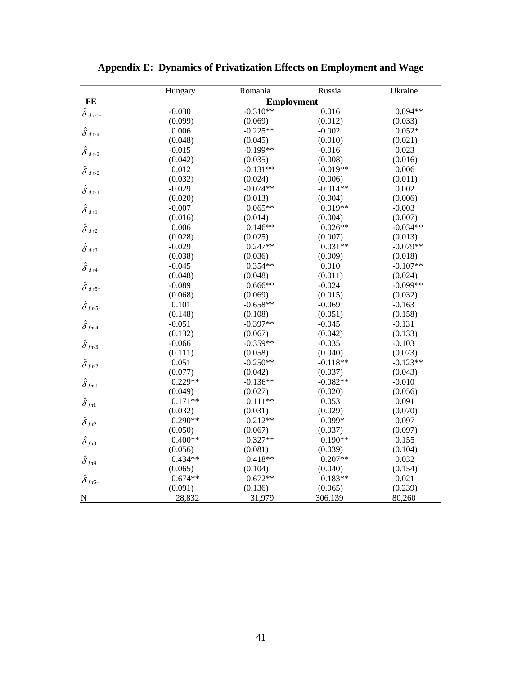|                                    | Hungary           | Romania    | Russia     | Ukraine    |  |
|------------------------------------|-------------------|------------|------------|------------|--|
| FE                                 | <b>Employment</b> |            |            |            |  |
| $\hat{\delta}$ d $\tau$ -5-        | $-0.030$          | $-0.310**$ | 0.016      | $0.094**$  |  |
|                                    | (0.099)           | (0.069)    | (0.012)    | (0.033)    |  |
| $\hat{\delta}$ d τ-4               | 0.006             | $-0.225**$ | $-0.002$   | $0.052*$   |  |
|                                    | (0.048)           | (0.045)    | (0.010)    | (0.021)    |  |
| $\hat{\delta}$ $_{d$<br>t-3        | $-0.015$          | $-0.199**$ | $-0.016$   | 0.023      |  |
|                                    | (0.042)           | (0.035)    | (0.008)    | (0.016)    |  |
| $\hat{\delta}$ $_{d$ т-2           | 0.012             | $-0.131**$ | $-0.019**$ | 0.006      |  |
|                                    | (0.032)           | (0.024)    | (0.006)    | (0.011)    |  |
| $\hat{\delta}_{d\tau\text{-}1}$    | $-0.029$          | $-0.074**$ | $-0.014**$ | 0.002      |  |
|                                    | (0.020)           | (0.013)    | (0.004)    | (0.006)    |  |
| $\hat{\delta}$ d tl                | $-0.007$          | $0.065**$  | $0.019**$  | $-0.003$   |  |
|                                    | (0.016)           | (0.014)    | (0.004)    | (0.007)    |  |
| $\hat{\delta}_{d\tau2}$            | 0.006             | $0.146**$  | $0.026**$  | $-0.034**$ |  |
|                                    | (0.028)           | (0.025)    | (0.007)    | (0.013)    |  |
| $\hat{\delta}_{d\tau3}$            | $-0.029$          | $0.247**$  | $0.031**$  | $-0.079**$ |  |
|                                    | (0.038)           | (0.036)    | (0.009)    | (0.018)    |  |
| $\hat{\delta}_{d\tau4}$            | $-0.045$          | $0.354**$  | 0.010      | $-0.107**$ |  |
|                                    | (0.048)           | (0.048)    | (0.011)    | (0.024)    |  |
| $\hat{\delta}$ $_{d$ τ5+           | $-0.089$          | $0.666**$  | $-0.024$   | $-0.099**$ |  |
|                                    | (0.068)           | (0.069)    | (0.015)    | (0.032)    |  |
| $\hat{\delta}_{{f5\text{-}}}$      | 0.101             | $-0.658**$ | $-0.069$   | $-0.163$   |  |
|                                    | (0.148)           | (0.108)    | (0.051)    | (0.158)    |  |
| $\hat{\delta}_{{f}^{\tau-4}}$      | $-0.051$          | $-0.397**$ | $-0.045$   | $-0.131$   |  |
|                                    | (0.132)           | (0.067)    | (0.042)    | (0.133)    |  |
| $\hat{\delta}_{f \tau \text{-} 3}$ | $-0.066$          | $-0.359**$ | $-0.035$   | $-0.103$   |  |
|                                    | (0.111)           | (0.058)    | (0.040)    | (0.073)    |  |
| $\hat{\delta}_\textit{fr-2}$       | 0.051             | $-0.250**$ | $-0.118**$ | $-0.123**$ |  |
|                                    | (0.077)           | (0.042)    | (0.037)    | (0.043)    |  |
| $\hat{\delta}_{f\tau\text{-}1}$    | $0.229**$         | $-0.136**$ | $-0.082**$ | $-0.010$   |  |
|                                    | (0.049)           | (0.027)    | (0.020)    | (0.056)    |  |
| $\hat{\delta}_{{f\tau}1}$          | $0.171**$         | $0.111**$  | 0.053      | 0.091      |  |
|                                    | (0.032)           | (0.031)    | (0.029)    | (0.070)    |  |
| $\hat{\delta}_{{f}{\tau}2}$        | $0.290**$         | $0.212**$  | $0.099*$   | 0.097      |  |
|                                    | (0.050)           | (0.067)    | (0.037)    | (0.097)    |  |
| $\hat{\delta}_{{f53}}$             | $0.400**$         | $0.327**$  | $0.190**$  | 0.155      |  |
|                                    | (0.056)           | (0.081)    | (0.039)    | (0.104)    |  |
| $\hat{\delta}_{{f}{\tau}4}$        | $0.434**$         | $0.418**$  | $0.207**$  | 0.032      |  |
|                                    | (0.065)           | (0.104)    | (0.040)    | (0.154)    |  |
| $\hat{\delta}_{{f\tau5}^+}$        | $0.674**$         | $0.672**$  | $0.183**$  | 0.021      |  |
|                                    | (0.091)           | (0.136)    | (0.065)    | (0.239)    |  |
| $\overline{\mathbf{N}}$            | 28,832            | 31,979     | 306,139    | 80,260     |  |

**Appendix E: Dynamics of Privatization Effects on Employment and Wage**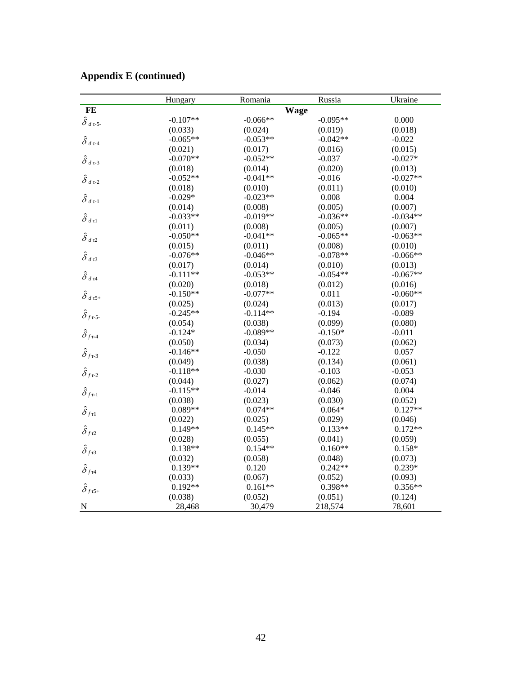|                                                                | Hungary    | Romania    | Russia     | Ukraine    |
|----------------------------------------------------------------|------------|------------|------------|------------|
| $\bf FE$                                                       |            |            |            |            |
| $\hat{\delta}$ $_{d$ τ-5-                                      | $-0.107**$ | $-0.066**$ | $-0.095**$ | 0.000      |
|                                                                | (0.033)    | (0.024)    | (0.019)    | (0.018)    |
| $\hat{\delta}$ а т-4                                           | $-0.065**$ | $-0.053**$ | $-0.042**$ | $-0.022$   |
|                                                                | (0.021)    | (0.017)    | (0.016)    | (0.015)    |
| $\hat{\delta}$ а т-3                                           | $-0.070**$ | $-0.052**$ | $-0.037$   | $-0.027*$  |
|                                                                | (0.018)    | (0.014)    | (0.020)    | (0.013)    |
| $\hat{\delta}$ $_{d$ т-2                                       | $-0.052**$ | $-0.041**$ | $-0.016$   | $-0.027**$ |
|                                                                | (0.018)    | (0.010)    | (0.011)    | (0.010)    |
| $\hat{\delta}_{d\tau\text{-}1}$                                | $-0.029*$  | $-0.023**$ | 0.008      | 0.004      |
|                                                                | (0.014)    | (0.008)    | (0.005)    | (0.007)    |
| $\hat{\delta}$ d tl                                            | $-0.033**$ | $-0.019**$ | $-0.036**$ | $-0.034**$ |
|                                                                | (0.011)    | (0.008)    | (0.005)    | (0.007)    |
| $\hat{\delta}$ а т2                                            | $-0.050**$ | $-0.041**$ | $-0.065**$ | $-0.063**$ |
|                                                                | (0.015)    | (0.011)    | (0.008)    | (0.010)    |
| $\hat{\delta}$ d t3                                            | $-0.076**$ | $-0.046**$ | $-0.078**$ | $-0.066**$ |
|                                                                | (0.017)    | (0.014)    | (0.010)    | (0.013)    |
| $\hat{\delta}$ а т<br>4                                        | $-0.111**$ | $-0.053**$ | $-0.054**$ | $-0.067**$ |
|                                                                | (0.020)    | (0.018)    | (0.012)    | (0.016)    |
| $\hat{\delta}$ d t5+                                           | $-0.150**$ | $-0.077**$ | 0.011      | $-0.060**$ |
|                                                                | (0.025)    | (0.024)    | (0.013)    | (0.017)    |
| $\hat{\delta}_\textit{fr-5-}$                                  | $-0.245**$ | $-0.114**$ | $-0.194$   | $-0.089$   |
|                                                                | (0.054)    | (0.038)    | (0.099)    | (0.080)    |
| $\hat{\delta}_{{f}^{\tau-4}}$                                  | $-0.124*$  | $-0.089**$ | $-0.150*$  | $-0.011$   |
|                                                                | (0.050)    | (0.034)    | (0.073)    | (0.062)    |
| $\hat{\delta}_{{f}^{\tau-3}}$                                  | $-0.146**$ | $-0.050$   | $-0.122$   | 0.057      |
|                                                                | (0.049)    | (0.038)    | (0.134)    | (0.061)    |
| $\hat{\delta}_{{f}^{\tau-2}}$                                  | $-0.118**$ | $-0.030$   | $-0.103$   | $-0.053$   |
|                                                                | (0.044)    | (0.027)    | (0.062)    | (0.074)    |
| $\hat{\delta}_{{f}^{\tau-1}}$                                  | $-0.115**$ | $-0.014$   | $-0.046$   | 0.004      |
|                                                                | (0.038)    | (0.023)    | (0.030)    | (0.052)    |
| $\hat{\delta}_{{f\tau}1}$                                      | $0.089**$  | $0.074**$  | $0.064*$   | $0.127**$  |
|                                                                | (0.022)    | (0.025)    | (0.029)    | (0.046)    |
| $\hat{\delta}_{{f}{\tau}2}$                                    | $0.149**$  | $0.145**$  | $0.133**$  | $0.172**$  |
|                                                                | (0.028)    | (0.055)    | (0.041)    | (0.059)    |
| $\hat{\delta}_{{f \tau3}}$                                     | $0.138**$  | $0.154**$  | $0.160**$  | $0.158*$   |
|                                                                | (0.032)    | (0.058)    | (0.048)    | (0.073)    |
| $\hat{\delta}_{{f}{\tau}4}$                                    | $0.139**$  | 0.120      | $0.242**$  | $0.239*$   |
|                                                                | (0.033)    | (0.067)    | (0.052)    | (0.093)    |
| $\hat{\delta}_{{f\hskip.05em}\tau{\hskip.05em}5{\hskip.1em}+}$ | $0.192**$  | $0.161**$  | 0.398**    | $0.356**$  |
|                                                                | (0.038)    | (0.052)    | (0.051)    | (0.124)    |
| ${\bf N}$                                                      | 28,468     | 30,479     | 218,574    | 78,601     |

## **Appendix E (continued)**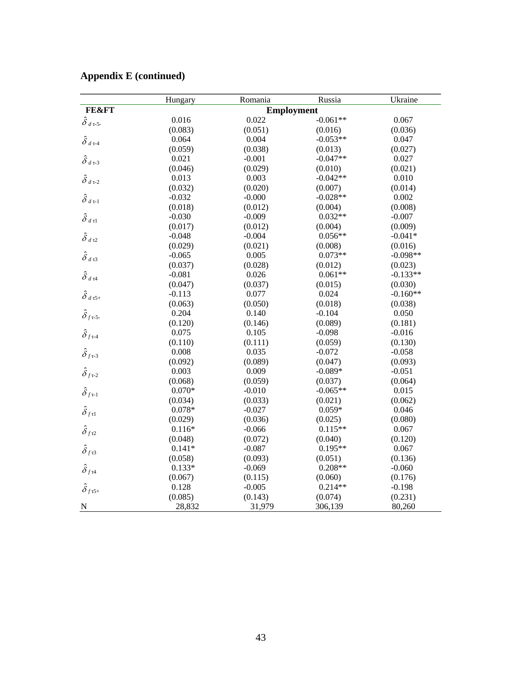|                                                  | Hungary  | Romania           | Russia     | Ukraine    |
|--------------------------------------------------|----------|-------------------|------------|------------|
| <b>FE&amp;FT</b>                                 |          | <b>Employment</b> |            |            |
| $\hat{\delta}_{d\,\tau\text{-5-}}$               | 0.016    | 0.022             | $-0.061**$ | 0.067      |
|                                                  | (0.083)  | (0.051)           | (0.016)    | (0.036)    |
| $\hat{\delta}$ d т-4                             | 0.064    | 0.004             | $-0.053**$ | 0.047      |
|                                                  | (0.059)  | (0.038)           | (0.013)    | (0.027)    |
| $\hat{\delta}$ $_{d$ т-3                         | 0.021    | $-0.001$          | $-0.047**$ | 0.027      |
|                                                  | (0.046)  | (0.029)           | (0.010)    | (0.021)    |
| $\hat{\delta}$ $_{d$ τ-2                         | 0.013    | 0.003             | $-0.042**$ | 0.010      |
|                                                  | (0.032)  | (0.020)           | (0.007)    | (0.014)    |
| $\hat{\delta}$ $_{d$<br>t-1                      | $-0.032$ | $-0.000$          | $-0.028**$ | 0.002      |
|                                                  | (0.018)  | (0.012)           | (0.004)    | (0.008)    |
| $\hat{\delta}$ $_{d$ tl                          | $-0.030$ | $-0.009$          | $0.032**$  | $-0.007$   |
|                                                  | (0.017)  | (0.012)           | (0.004)    | (0.009)    |
| $\hat{\delta}$ а т2                              | $-0.048$ | $-0.004$          | $0.056**$  | $-0.041*$  |
|                                                  | (0.029)  | (0.021)           | (0.008)    | (0.016)    |
| $\hat{\delta}$ а тЗ                              | $-0.065$ | 0.005             | $0.073**$  | $-0.098**$ |
|                                                  | (0.037)  | (0.028)           | (0.012)    | (0.023)    |
| $\hat{\delta}$ $_{d$ $\tau4}$                    | $-0.081$ | 0.026             | $0.061**$  | $-0.133**$ |
|                                                  | (0.047)  | (0.037)           | (0.015)    | (0.030)    |
| $\hat{\delta}$ $_{d$ τ5+                         | $-0.113$ | 0.077             | 0.024      | $-0.160**$ |
|                                                  | (0.063)  | (0.050)           | (0.018)    | (0.038)    |
| $\hat{\delta}_{{f\texttt{\tiny T-5}}\texttt{-}}$ | 0.204    | 0.140             | $-0.104$   | 0.050      |
|                                                  | (0.120)  | (0.146)           | (0.089)    | (0.181)    |
| $\hat{\delta}_{{f} \tau \text{-} 4}$             | 0.075    | 0.105             | $-0.098$   | $-0.016$   |
|                                                  | (0.110)  | (0.111)           | (0.059)    | (0.130)    |
| $\hat{\delta}_{f \tau \text{-} 3}$               | 0.008    | 0.035             | $-0.072$   | $-0.058$   |
|                                                  | (0.092)  | (0.089)           | (0.047)    | (0.093)    |
| $\hat{\delta}_{f \tau \text{-} 2}$               | 0.003    | 0.009             | $-0.089*$  | $-0.051$   |
|                                                  | (0.068)  | (0.059)           | (0.037)    | (0.064)    |
| $\hat{\delta}_{f}$ <sub>τ-1</sub>                | $0.070*$ | $-0.010$          | $-0.065**$ | 0.015      |
|                                                  | (0.034)  | (0.033)           | (0.021)    | (0.062)    |
| $\hat{\delta}_{f\tau1}$                          | $0.078*$ | $-0.027$          | $0.059*$   | 0.046      |
|                                                  | (0.029)  | (0.036)           | (0.025)    | (0.080)    |
| $\hat{\delta}_{f\tau2}$                          | $0.116*$ | $-0.066$          | $0.115**$  | 0.067      |
|                                                  | (0.048)  | (0.072)           | (0.040)    | (0.120)    |
| $\hat{\delta}_{{f\bar{\tau}}3}$                  | $0.141*$ | $-0.087$          | $0.195**$  | 0.067      |
|                                                  | (0.058)  | (0.093)           | (0.051)    | (0.136)    |
| $\hat{\delta}_{{f}{\tau}4}$                      | $0.133*$ | $-0.069$          | $0.208**$  | $-0.060$   |
|                                                  | (0.067)  | (0.115)           | (0.060)    | (0.176)    |
| $\hat{\delta}_{{f5}^+}$                          | 0.128    | $-0.005$          | $0.214**$  | $-0.198$   |
|                                                  | (0.085)  | (0.143)           | (0.074)    | (0.231)    |
| ${\bf N}$                                        | 28,832   | 31,979            | 306,139    | 80,260     |

## **Appendix E (continued)**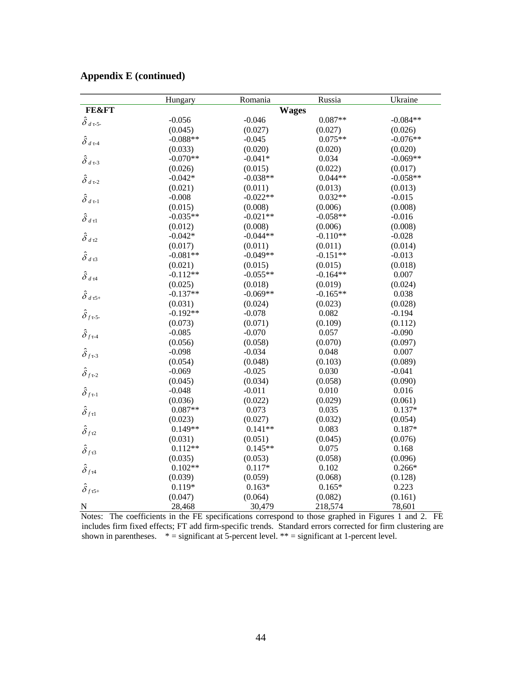|                                                                | Hungary    | Romania      | Russia     | Ukraine    |
|----------------------------------------------------------------|------------|--------------|------------|------------|
| <b>FE&amp;FT</b>                                               |            | <b>Wages</b> |            |            |
| $\hat{\delta}_{d\tau\text{-}5}$                                | $-0.056$   | $-0.046$     | $0.087**$  | $-0.084**$ |
|                                                                | (0.045)    | (0.027)      | (0.027)    | (0.026)    |
| $\hat{\delta}$ а т-4                                           | $-0.088**$ | $-0.045$     | $0.075**$  | $-0.076**$ |
|                                                                | (0.033)    | (0.020)      | (0.020)    | (0.020)    |
| $\hat{\delta}$ $_{d$ т-3                                       | $-0.070**$ | $-0.041*$    | 0.034      | $-0.069**$ |
|                                                                | (0.026)    | (0.015)      | (0.022)    | (0.017)    |
| $\hat{\delta}$ $_{d$ т-2                                       | $-0.042*$  | $-0.038**$   | $0.044**$  | $-0.058**$ |
|                                                                | (0.021)    | (0.011)      | (0.013)    | (0.013)    |
| $\hat{\delta}_{d\,\texttt{t-1}}$                               | $-0.008$   | $-0.022**$   | $0.032**$  | $-0.015$   |
|                                                                | (0.015)    | (0.008)      | (0.006)    | (0.008)    |
| $\hat{\delta}$ $_{d$ tl                                        | $-0.035**$ | $-0.021**$   | $-0.058**$ | $-0.016$   |
|                                                                | (0.012)    | (0.008)      | (0.006)    | (0.008)    |
| $\hat{\delta}$ а т2                                            | $-0.042*$  | $-0.044**$   | $-0.110**$ | $-0.028$   |
|                                                                | (0.017)    | (0.011)      | (0.011)    | (0.014)    |
| $\hat{\delta}$ а тЗ                                            | $-0.081**$ | $-0.049**$   | $-0.151**$ | $-0.013$   |
|                                                                | (0.021)    | (0.015)      | (0.015)    | (0.018)    |
| $\hat{\delta}$ $_{d$ $\tau4}$                                  | $-0.112**$ | $-0.055**$   | $-0.164**$ | 0.007      |
|                                                                | (0.025)    | (0.018)      | (0.019)    | (0.024)    |
| $\hat{\delta}$ $_{d$ τ5+                                       | $-0.137**$ | $-0.069**$   | $-0.165**$ | 0.038      |
|                                                                | (0.031)    | (0.024)      | (0.023)    | (0.028)    |
| $\hat{\delta}_f$ <sub>τ-5-</sub>                               | $-0.192**$ | $-0.078$     | 0.082      | $-0.194$   |
|                                                                | (0.073)    | (0.071)      | (0.109)    | (0.112)    |
| $\hat{\delta}_{f\tau\text{-}4}$                                | $-0.085$   | $-0.070$     | 0.057      | $-0.090$   |
|                                                                | (0.056)    | (0.058)      | (0.070)    | (0.097)    |
| $\hat{\delta}_{f \tau \text{-} 3}$                             | $-0.098$   | $-0.034$     | 0.048      | 0.007      |
|                                                                | (0.054)    | (0.048)      | (0.103)    | (0.089)    |
| $\hat{\delta}_{f\tau\text{-}2}$                                | $-0.069$   | $-0.025$     | 0.030      | $-0.041$   |
|                                                                | (0.045)    | (0.034)      | (0.058)    | (0.090)    |
| $\hat{\delta}_{{f}^{\tau-1}}$                                  | $-0.048$   | $-0.011$     | 0.010      | 0.016      |
|                                                                | (0.036)    | (0.022)      | (0.029)    | (0.061)    |
| $\hat{\delta}_{f \tau 1}$                                      | $0.087**$  | 0.073        | 0.035      | $0.137*$   |
|                                                                | (0.023)    | (0.027)      | (0.032)    | (0.054)    |
| $\hat{\delta}_{{f12}}$                                         | $0.149**$  | $0.141**$    | 0.083      | $0.187*$   |
|                                                                | (0.031)    | (0.051)      | (0.045)    | (0.076)    |
| $\hat{\delta}_{{f53}}$                                         | $0.112**$  | $0.145**$    | 0.075      | 0.168      |
|                                                                | (0.035)    | (0.053)      | (0.058)    | (0.096)    |
| $\hat{\delta}_{{f}{\tau}4}$                                    | $0.102**$  | $0.117*$     | 0.102      | $0.266*$   |
|                                                                | (0.039)    | (0.059)      | (0.068)    | (0.128)    |
| $\hat{\delta}_{{f\hskip.05em}\tau{\hskip.05em}5{\hskip.1em}+}$ | $0.119*$   | $0.163*$     | $0.165*$   | 0.223      |
|                                                                | (0.047)    | (0.064)      | (0.082)    | (0.161)    |
| ${\bf N}$                                                      | 28,468     | 30,479       | 218,574    | 78,601     |

### **Appendix E (continued)**

Notes: The coefficients in the FE specifications correspond to those graphed in Figures 1 and 2. FE includes firm fixed effects; FT add firm-specific trends. Standard errors corrected for firm clustering are shown in parentheses.  $* =$  significant at 5-percent level.  $** =$  significant at 1-percent level.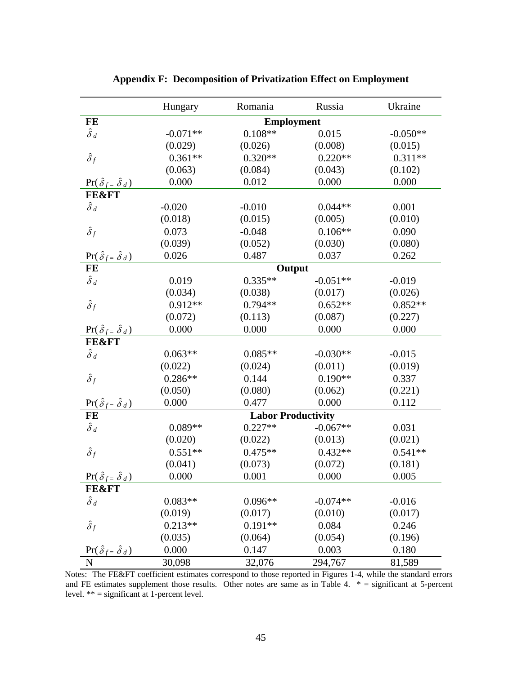|                                          | Hungary           | Romania                   | Russia     | Ukraine    |  |
|------------------------------------------|-------------------|---------------------------|------------|------------|--|
| FE                                       | <b>Employment</b> |                           |            |            |  |
| $\hat{\delta}$ d                         | $-0.071**$        | $0.108**$                 | 0.015      | $-0.050**$ |  |
|                                          | (0.029)           | (0.026)                   | (0.008)    | (0.015)    |  |
| $\hat{\delta}_f$                         | $0.361**$         | $0.320**$                 | $0.220**$  | $0.311**$  |  |
|                                          | (0.063)           | (0.084)                   | (0.043)    | (0.102)    |  |
| $\Pr(\hat{\delta}_f = \hat{\delta}_d)$   | 0.000             | 0.012                     | 0.000      | 0.000      |  |
| <b>FE&amp;FT</b>                         |                   |                           |            |            |  |
| $\hat{\delta}_d$                         | $-0.020$          | $-0.010$                  | $0.044**$  | 0.001      |  |
|                                          | (0.018)           | (0.015)                   | (0.005)    | (0.010)    |  |
| $\hat{\delta}_f$                         | 0.073             | $-0.048$                  | $0.106**$  | 0.090      |  |
|                                          | (0.039)           | (0.052)                   | (0.030)    | (0.080)    |  |
| $\Pr(\hat{\delta}_f = \hat{\delta}_d)$   | 0.026             | 0.487                     | 0.037      | 0.262      |  |
| FE                                       |                   | Output                    |            |            |  |
| $\hat{\delta}$ d                         | 0.019             | $0.335**$                 | $-0.051**$ | $-0.019$   |  |
|                                          | (0.034)           | (0.038)                   | (0.017)    | (0.026)    |  |
| $\hat{\delta}_f$                         | $0.912**$         | $0.794**$                 | $0.652**$  | $0.852**$  |  |
|                                          | (0.072)           | (0.113)                   | (0.087)    | (0.227)    |  |
| $\Pr(\hat{\delta}_f = \hat{\delta}_d)$   | 0.000             | 0.000                     | 0.000      | 0.000      |  |
| <b>FE&amp;FT</b>                         |                   |                           |            |            |  |
| $\hat{\delta}_d$                         | $0.063**$         | $0.085**$                 | $-0.030**$ | $-0.015$   |  |
|                                          | (0.022)           | (0.024)                   | (0.011)    | (0.019)    |  |
| $\hat{\delta}_f$                         | $0.286**$         | 0.144                     | $0.190**$  | 0.337      |  |
|                                          | (0.050)           | (0.080)                   | (0.062)    | (0.221)    |  |
| $\Pr(\hat{\delta}_f = \hat{\delta}_d)$   | 0.000             | 0.477                     | 0.000      | 0.112      |  |
| FE                                       |                   | <b>Labor Productivity</b> |            |            |  |
| $\hat{\delta}$ d                         | $0.089**$         | $0.227**$                 | $-0.067**$ | 0.031      |  |
|                                          | (0.020)           | (0.022)                   | (0.013)    | (0.021)    |  |
| $\hat{\delta}_f$                         | $0.551**$         | $0.475**$                 | $0.432**$  | $0.541**$  |  |
|                                          | (0.041)           | (0.073)                   | (0.072)    | (0.181)    |  |
| $\Pr(\hat{\delta}_{f} = \hat{\delta}_d)$ | 0.000             | 0.001                     | 0.000      | 0.005      |  |
| <b>FE&amp;FT</b>                         |                   |                           |            |            |  |
| $\hat{\delta}$ d                         | $0.083**$         | $0.096**$                 | $-0.074**$ | $-0.016$   |  |
|                                          | (0.019)           | (0.017)                   | (0.010)    | (0.017)    |  |
| $\hat{\delta}_f$                         | $0.213**$         | $0.191**$                 | 0.084      | 0.246      |  |
|                                          | (0.035)           | (0.064)                   | (0.054)    | (0.196)    |  |
| $\Pr(\hat{\delta}_f = \hat{\delta}_d)$   | 0.000             | 0.147                     | 0.003      | 0.180      |  |
| N                                        | 30,098            | 32,076                    | 294,767    | 81,589     |  |

**Appendix F: Decomposition of Privatization Effect on Employment** 

Notes: The FE&FT coefficient estimates correspond to those reported in Figures 1-4, while the standard errors and FE estimates supplement those results. Other notes are same as in Table 4. \* = significant at 5-percent level. \*\* = significant at 1-percent level.